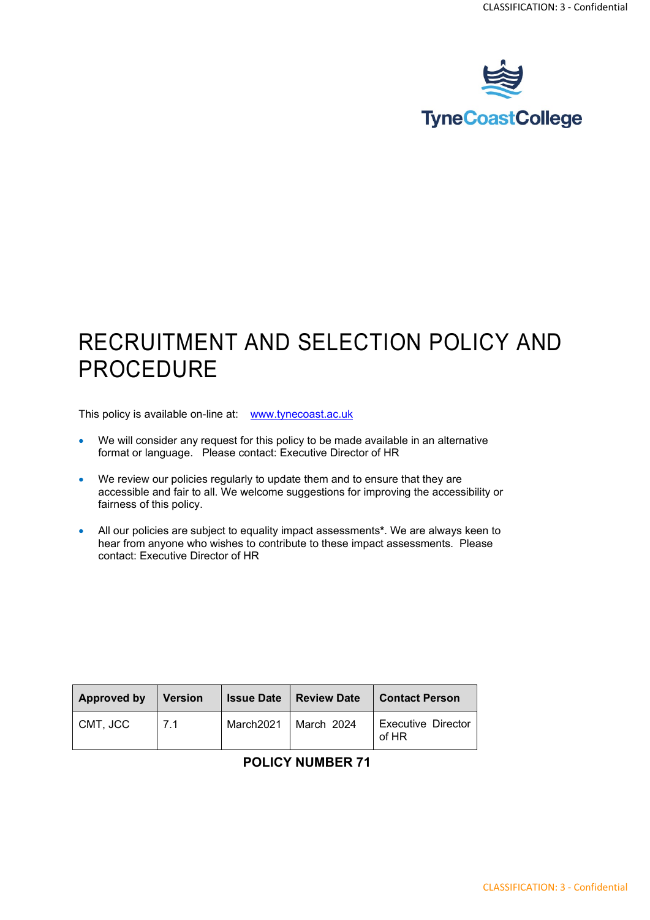

### RECRUITMENT AND SELECTION POLICY AND PROCEDURE

This policy is available on-line at: [www.tynecoast.ac.uk](http://www.tynecoast.ac.uk/)

- We will consider any request for this policy to be made available in an alternative format or language. Please contact: Executive Director of HR
- We review our policies regularly to update them and to ensure that they are accessible and fair to all. We welcome suggestions for improving the accessibility or fairness of this policy.
- All our policies are subject to equality impact assessments**\***. We are always keen to hear from anyone who wishes to contribute to these impact assessments. Please contact: Executive Director of HR

| Approved by | <b>Version</b> | <b>Issue Date</b> | Review Date | Contact Person              |
|-------------|----------------|-------------------|-------------|-----------------------------|
| CMT, JCC    | 7.1            | March2021         | March 2024  | Executive Director<br>of HR |

#### **POLICY NUMBER 71**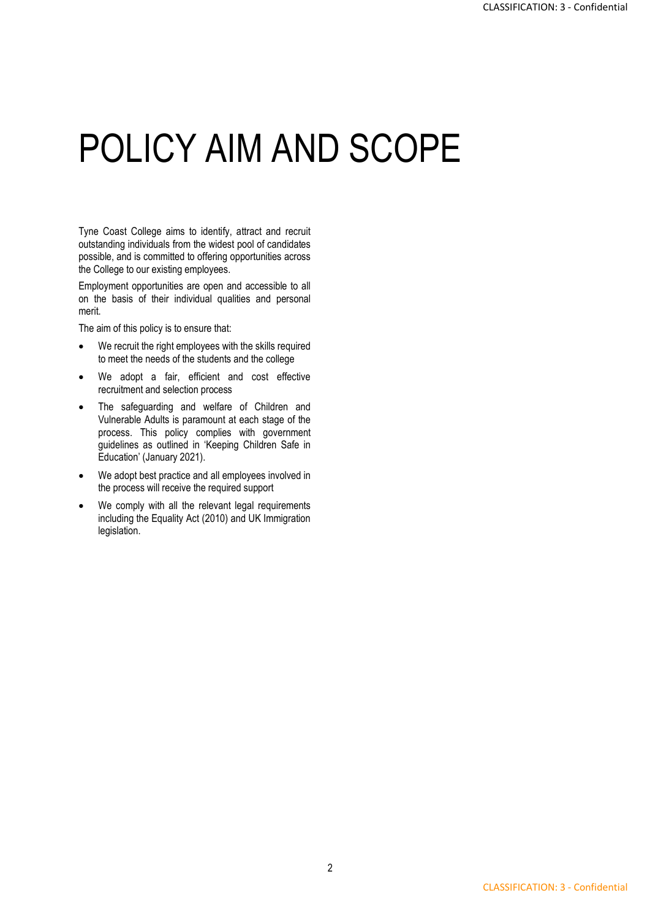## POLICY AIM AND SCOPE

Tyne Coast College aims to identify, attract and recruit outstanding individuals from the widest pool of candidates possible, and is committed to offering opportunities across the College to our existing employees.

Employment opportunities are open and accessible to all on the basis of their individual qualities and personal merit.

The aim of this policy is to ensure that:

- We recruit the right employees with the skills required to meet the needs of the students and the college
- We adopt a fair, efficient and cost effective recruitment and selection process
- The safeguarding and welfare of Children and Vulnerable Adults is paramount at each stage of the process. This policy complies with government guidelines as outlined in 'Keeping Children Safe in Education' (January 2021).
- We adopt best practice and all employees involved in the process will receive the required support
- We comply with all the relevant legal requirements including the Equality Act (2010) and UK Immigration legislation.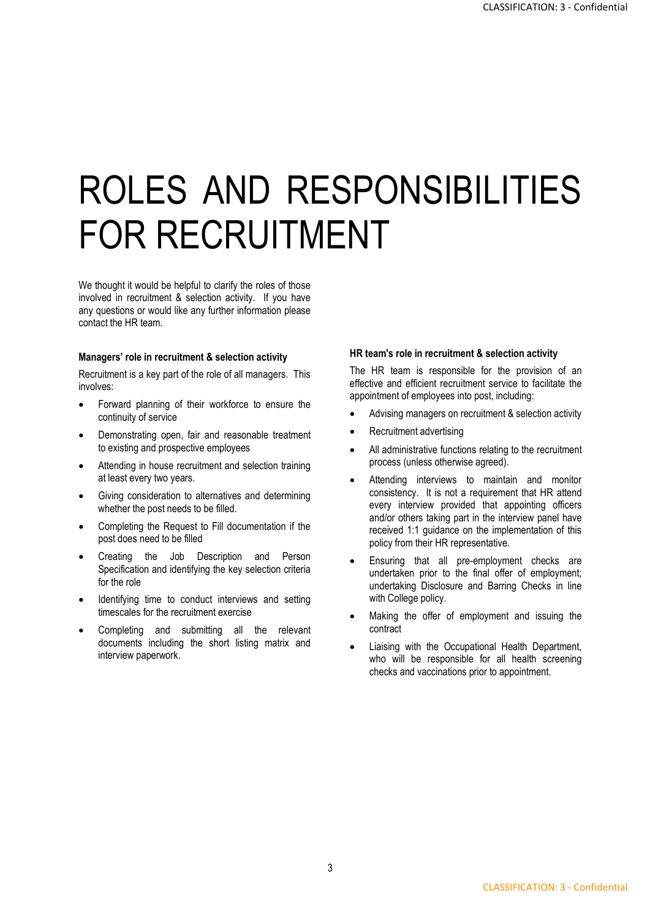# ROLES AND RESPONSIBILITIES FOR RECRUITMENT

We thought it would be helpful to clarify the roles of those involved in recruitment & selection activity. If you have any questions or would like any further information please contact the HR team.

#### **Managers' role in recruitment & selection activity**

Recruitment is a key part of the role of all managers. This involves:

- Forward planning of their workforce to ensure the continuity of service
- Demonstrating open, fair and reasonable treatment to existing and prospective employees
- Attending in house recruitment and selection training at least every two years.
- Giving consideration to alternatives and determining whether the post needs to be filled.
- Completing the Request to Fill documentation if the post does need to be filled
- Creating the Job Description and Person Specification and identifying the key selection criteria for the role
- Identifying time to conduct interviews and setting timescales for the recruitment exercise
- Completing and submitting all the relevant documents including the short listing matrix and interview paperwork.

#### **HR team's role in recruitment & selection activity**

The HR team is responsible for the provision of an effective and efficient recruitment service to facilitate the appointment of employees into post, including:

- Advising managers on recruitment & selection activity
- Recruitment advertising
- All administrative functions relating to the recruitment process (unless otherwise agreed).
- Attending interviews to maintain and monitor consistency. It is not a requirement that HR attend every interview provided that appointing officers and/or others taking part in the interview panel have received 1:1 guidance on the implementation of this policy from their HR representative.
- Ensuring that all pre-employment checks are undertaken prior to the final offer of employment; undertaking Disclosure and Barring Checks in line with College policy.
- Making the offer of employment and issuing the contract
- Liaising with the Occupational Health Department, who will be responsible for all health screening checks and vaccinations prior to appointment.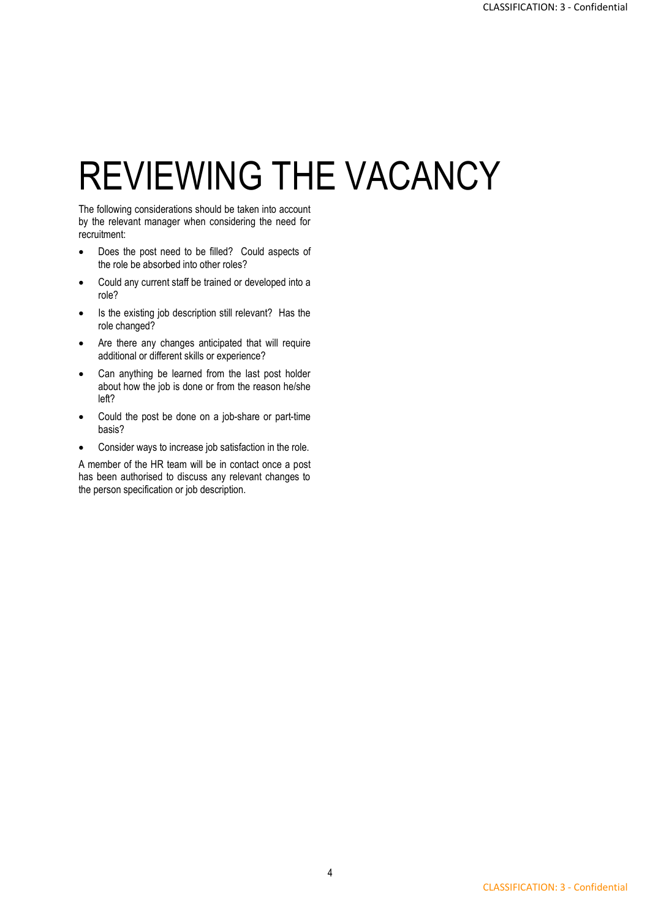## REVIEWING THE VACANCY

The following considerations should be taken into account by the relevant manager when considering the need for recruitment:

- Does the post need to be filled? Could aspects of the role be absorbed into other roles?
- Could any current staff be trained or developed into a role?
- Is the existing job description still relevant? Has the role changed?
- Are there any changes anticipated that will require additional or different skills or experience?
- Can anything be learned from the last post holder about how the job is done or from the reason he/she left?
- Could the post be done on a job-share or part-time basis?
- Consider ways to increase job satisfaction in the role.

A member of the HR team will be in contact once a post has been authorised to discuss any relevant changes to the person specification or job description.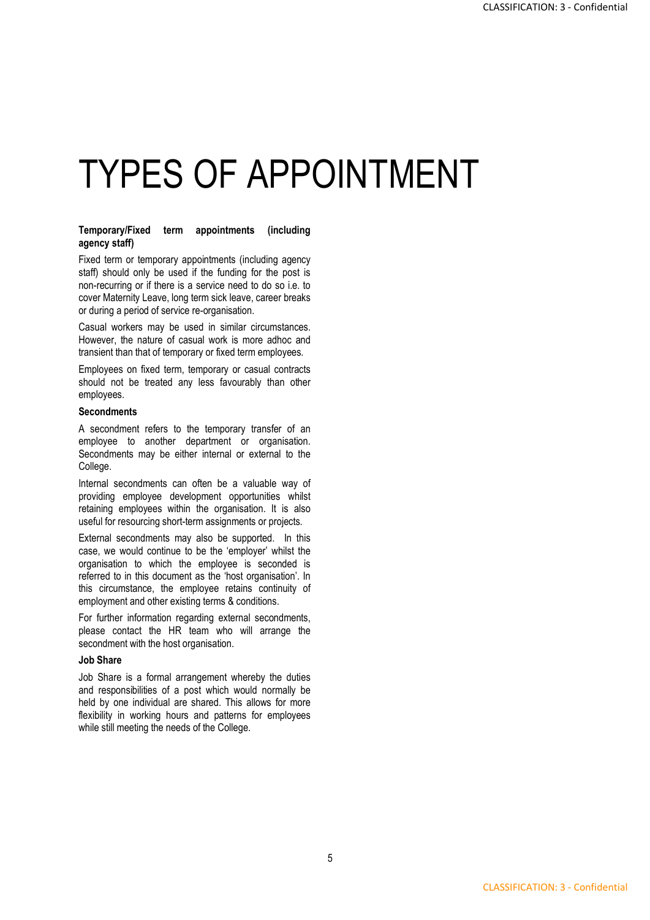## TYPES OF APPOINTMENT

#### **Temporary/Fixed term appointments (including agency staff)**

Fixed term or temporary appointments (including agency staff) should only be used if the funding for the post is non-recurring or if there is a service need to do so i.e. to cover Maternity Leave, long term sick leave, career breaks or during a period of service re-organisation.

Casual workers may be used in similar circumstances. However, the nature of casual work is more adhoc and transient than that of temporary or fixed term employees.

Employees on fixed term, temporary or casual contracts should not be treated any less favourably than other employees.

#### **Secondments**

A secondment refers to the temporary transfer of an employee to another department or organisation. Secondments may be either internal or external to the College.

Internal secondments can often be a valuable way of providing employee development opportunities whilst retaining employees within the organisation. It is also useful for resourcing short-term assignments or projects.

External secondments may also be supported. In this case, we would continue to be the 'employer' whilst the organisation to which the employee is seconded is referred to in this document as the 'host organisation'. In this circumstance, the employee retains continuity of employment and other existing terms & conditions.

For further information regarding external secondments, please contact the HR team who will arrange the secondment with the host organisation.

#### **Job Share**

Job Share is a formal arrangement whereby the duties and responsibilities of a post which would normally be held by one individual are shared. This allows for more flexibility in working hours and patterns for employees while still meeting the needs of the College.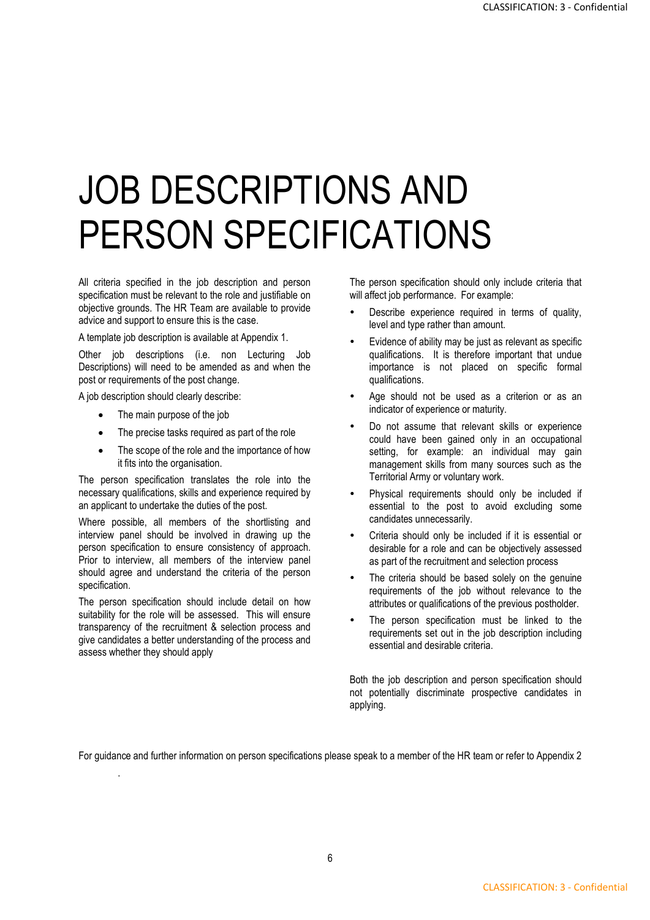## JOB DESCRIPTIONS AND PERSON SPECIFICATIONS

All criteria specified in the job description and person specification must be relevant to the role and justifiable on objective grounds. The HR Team are available to provide advice and support to ensure this is the case.

A template job description is available at Appendix 1.

Other job descriptions (i.e. non Lecturing Job Descriptions) will need to be amended as and when the post or requirements of the post change.

A job description should clearly describe:

- The main purpose of the job
- The precise tasks required as part of the role
- The scope of the role and the importance of how it fits into the organisation.

The person specification translates the role into the necessary qualifications, skills and experience required by an applicant to undertake the duties of the post.

Where possible, all members of the shortlisting and interview panel should be involved in drawing up the person specification to ensure consistency of approach. Prior to interview, all members of the interview panel should agree and understand the criteria of the person specification.

The person specification should include detail on how suitability for the role will be assessed. This will ensure transparency of the recruitment & selection process and give candidates a better understanding of the process and assess whether they should apply

.

The person specification should only include criteria that will affect job performance. For example:

- Describe experience required in terms of quality, level and type rather than amount.
- Evidence of ability may be just as relevant as specific qualifications. It is therefore important that undue importance is not placed on specific formal qualifications.
- Age should not be used as a criterion or as an indicator of experience or maturity.
- Do not assume that relevant skills or experience could have been gained only in an occupational setting, for example: an individual may gain management skills from many sources such as the Territorial Army or voluntary work.
- Physical requirements should only be included if essential to the post to avoid excluding some candidates unnecessarily.
- Criteria should only be included if it is essential or desirable for a role and can be objectively assessed as part of the recruitment and selection process
- The criteria should be based solely on the genuine requirements of the job without relevance to the attributes or qualifications of the previous postholder.
- The person specification must be linked to the requirements set out in the job description including essential and desirable criteria.

Both the job description and person specification should not potentially discriminate prospective candidates in applying.

For guidance and further information on person specifications please speak to a member of the HR team or refer to Appendix 2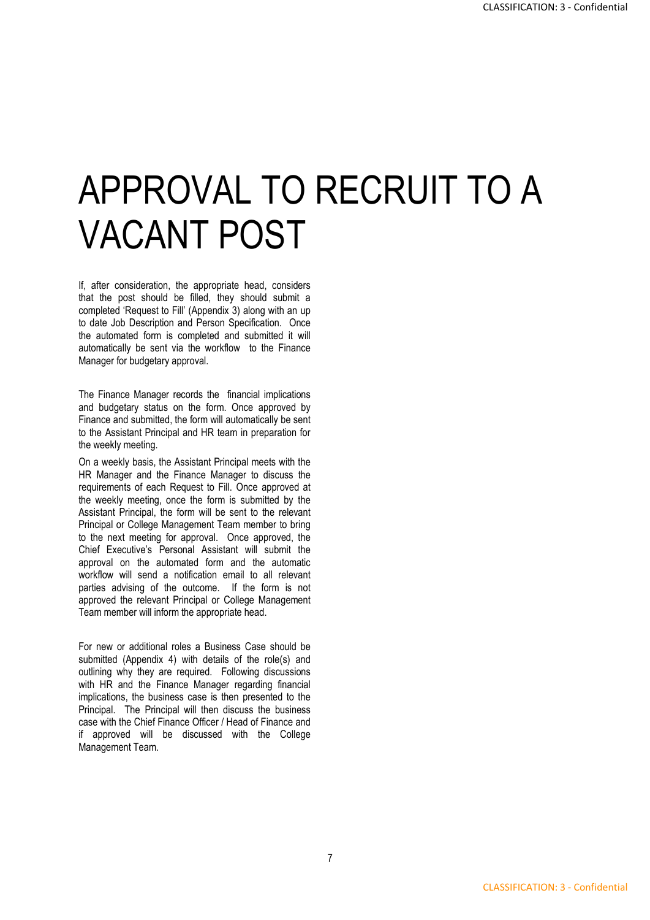## APPROVAL TO RECRUIT TO A VACANT POST

If, after consideration, the appropriate head, considers that the post should be filled, they should submit a completed 'Request to Fill' (Appendix 3) along with an up to date Job Description and Person Specification. Once the automated form is completed and submitted it will automatically be sent via the workflow to the Finance Manager for budgetary approval.

The Finance Manager records the financial implications and budgetary status on the form. Once approved by Finance and submitted, the form will automatically be sent to the Assistant Principal and HR team in preparation for the weekly meeting.

On a weekly basis, the Assistant Principal meets with the HR Manager and the Finance Manager to discuss the requirements of each Request to Fill. Once approved at the weekly meeting, once the form is submitted by the Assistant Principal, the form will be sent to the relevant Principal or College Management Team member to bring to the next meeting for approval. Once approved, the Chief Executive's Personal Assistant will submit the approval on the automated form and the automatic workflow will send a notification email to all relevant parties advising of the outcome. If the form is not approved the relevant Principal or College Management Team member will inform the appropriate head.

For new or additional roles a Business Case should be submitted (Appendix 4) with details of the role(s) and outlining why they are required. Following discussions with HR and the Finance Manager regarding financial implications, the business case is then presented to the Principal. The Principal will then discuss the business case with the Chief Finance Officer / Head of Finance and if approved will be discussed with the College Management Team.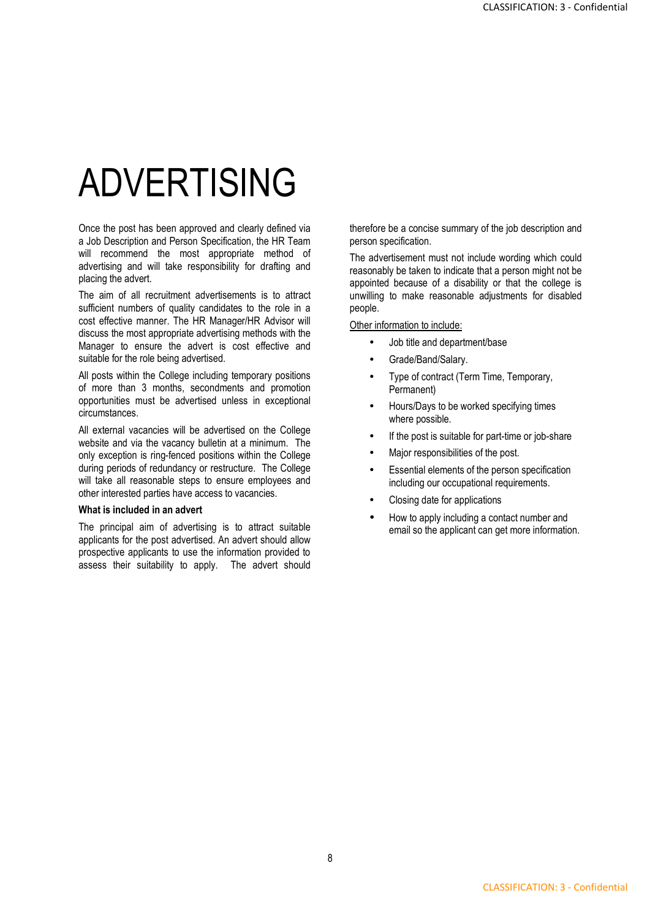## ADVERTISING

Once the post has been approved and clearly defined via a Job Description and Person Specification, the HR Team will recommend the most appropriate method of advertising and will take responsibility for drafting and placing the advert.

The aim of all recruitment advertisements is to attract sufficient numbers of quality candidates to the role in a cost effective manner. The HR Manager/HR Advisor will discuss the most appropriate advertising methods with the Manager to ensure the advert is cost effective and suitable for the role being advertised.

All posts within the College including temporary positions of more than 3 months, secondments and promotion opportunities must be advertised unless in exceptional circumstances.

All external vacancies will be advertised on the College website and via the vacancy bulletin at a minimum. The only exception is ring-fenced positions within the College during periods of redundancy or restructure. The College will take all reasonable steps to ensure employees and other interested parties have access to vacancies.

#### **What is included in an advert**

The principal aim of advertising is to attract suitable applicants for the post advertised. An advert should allow prospective applicants to use the information provided to assess their suitability to apply. The advert should therefore be a concise summary of the job description and person specification.

The advertisement must not include wording which could reasonably be taken to indicate that a person might not be appointed because of a disability or that the college is unwilling to make reasonable adjustments for disabled people.

Other information to include:

- Job title and department/base
- Grade/Band/Salary.
- Type of contract (Term Time, Temporary, Permanent)
- Hours/Days to be worked specifying times where possible.
- If the post is suitable for part-time or job-share
- Major responsibilities of the post.
- Essential elements of the person specification including our occupational requirements.
- Closing date for applications
- How to apply including a contact number and email so the applicant can get more information.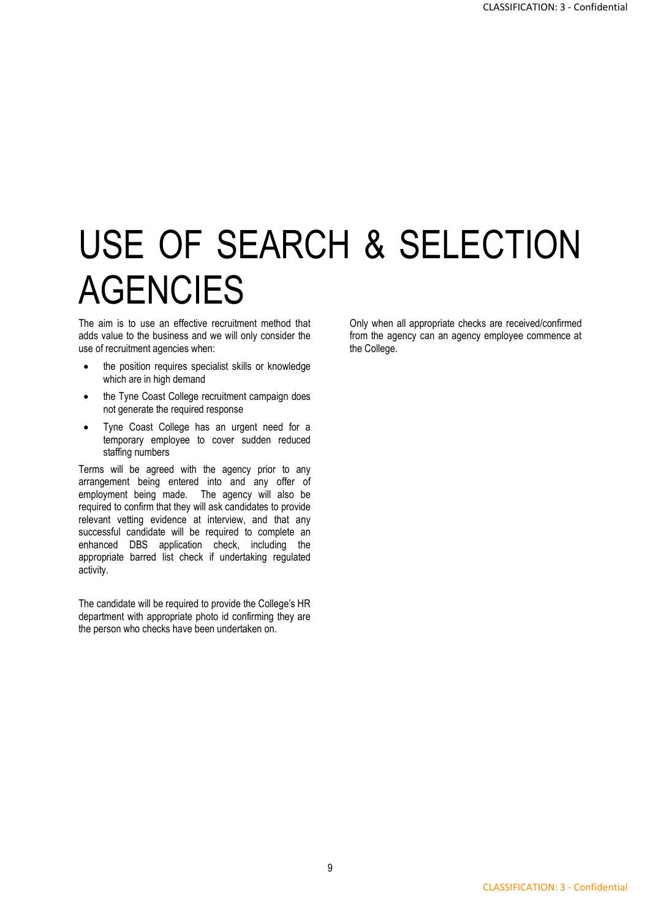## USE OF SEARCH & SELECTION **AGENCIES**

The aim is to use an effective recruitment method that adds value to the business and we will only consider the use of recruitment agencies when:

- the position requires specialist skills or knowledge which are in high demand
- the Tyne Coast College recruitment campaign does not generate the required response
- Tyne Coast College has an urgent need for a temporary employee to cover sudden reduced staffing numbers

Terms will be agreed with the agency prior to any arrangement being entered into and any offer of employment being made. The agency will also be required to confirm that they will ask candidates to provide relevant vetting evidence at interview, and that any successful candidate will be required to complete an enhanced DBS application check, including the appropriate barred list check if undertaking regulated activity.

The candidate will be required to provide the College's HR department with appropriate photo id confirming they are the person who checks have been undertaken on.

Only when all appropriate checks are received/confirmed from the agency can an agency employee commence at the College.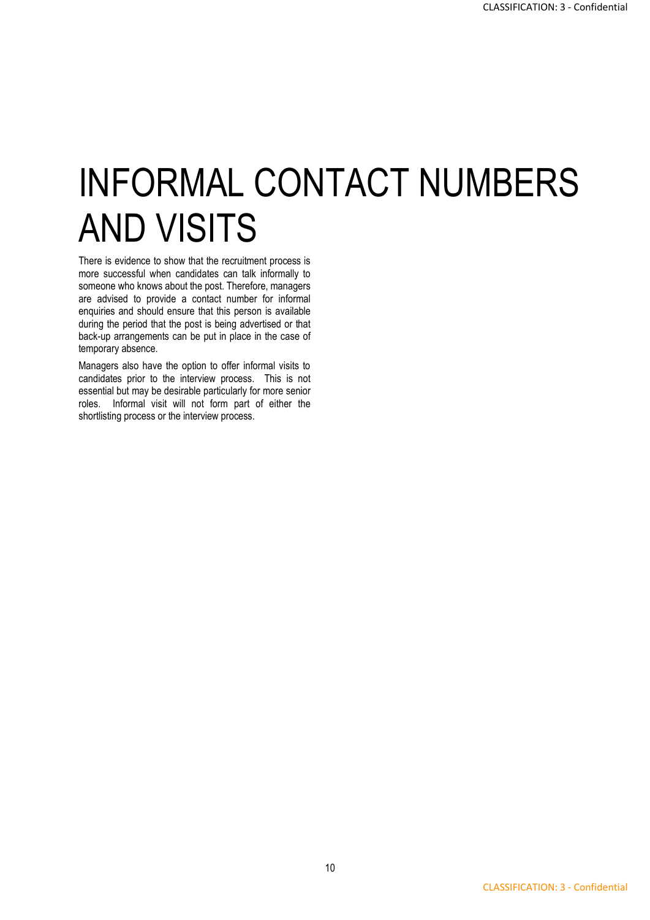## INFORMAL CONTACT NUMBERS AND VISITS

There is evidence to show that the recruitment process is more successful when candidates can talk informally to someone who knows about the post. Therefore, managers are advised to provide a contact number for informal enquiries and should ensure that this person is available during the period that the post is being advertised or that back-up arrangements can be put in place in the case of temporary absence.

Managers also have the option to offer informal visits to candidates prior to the interview process. This is not essential but may be desirable particularly for more senior roles. Informal visit will not form part of either the shortlisting process or the interview process.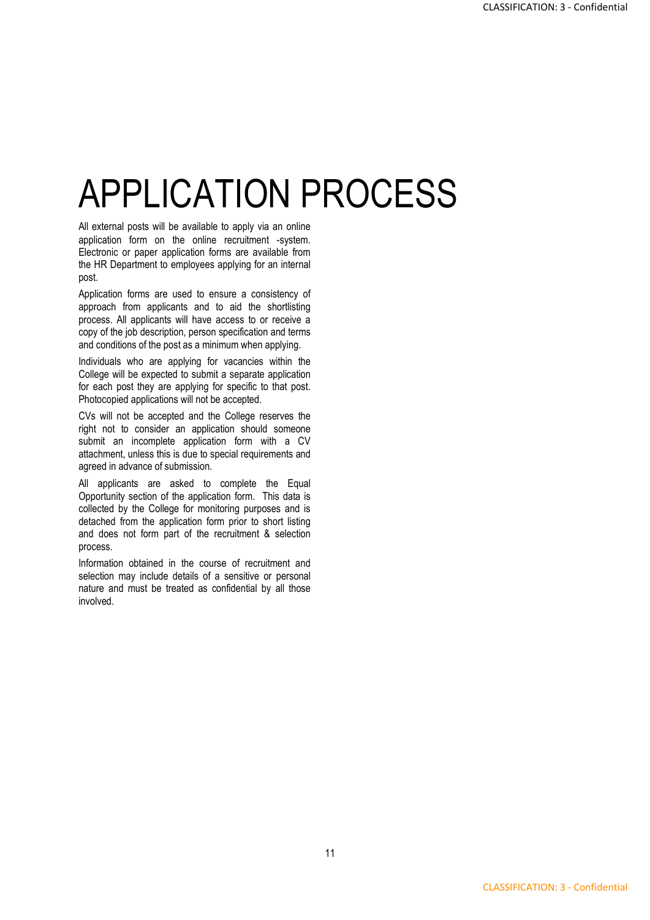## APPLICATION PROCESS

All external posts will be available to apply via an online application form on the online recruitment -system. Electronic or paper application forms are available from the HR Department to employees applying for an internal post.

Application forms are used to ensure a consistency of approach from applicants and to aid the shortlisting process. All applicants will have access to or receive a copy of the job description, person specification and terms and conditions of the post as a minimum when applying.

Individuals who are applying for vacancies within the College will be expected to submit a separate application for each post they are applying for specific to that post. Photocopied applications will not be accepted.

CVs will not be accepted and the College reserves the right not to consider an application should someone submit an incomplete application form with a CV attachment, unless this is due to special requirements and agreed in advance of submission.

All applicants are asked to complete the Equal Opportunity section of the application form. This data is collected by the College for monitoring purposes and is detached from the application form prior to short listing and does not form part of the recruitment & selection process.

Information obtained in the course of recruitment and selection may include details of a sensitive or personal nature and must be treated as confidential by all those involved.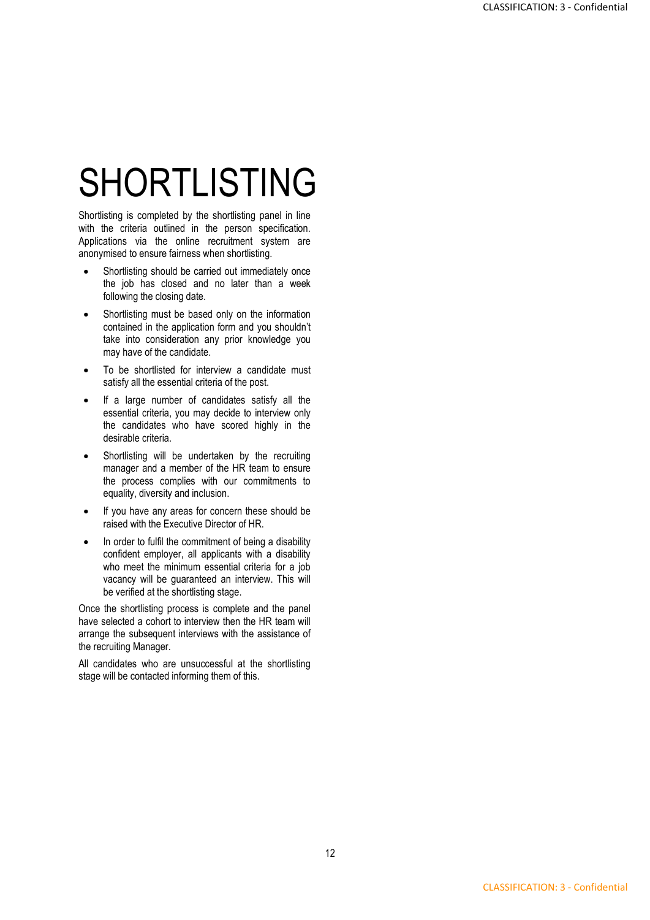## SHORTLISTING

Shortlisting is completed by the shortlisting panel in line with the criteria outlined in the person specification. Applications via the online recruitment system are anonymised to ensure fairness when shortlisting.

- Shortlisting should be carried out immediately once the job has closed and no later than a week following the closing date.
- Shortlisting must be based only on the information contained in the application form and you shouldn't take into consideration any prior knowledge you may have of the candidate.
- To be shortlisted for interview a candidate must satisfy all the essential criteria of the post.
- If a large number of candidates satisfy all the essential criteria, you may decide to interview only the candidates who have scored highly in the desirable criteria.
- Shortlisting will be undertaken by the recruiting manager and a member of the HR team to ensure the process complies with our commitments to equality, diversity and inclusion.
- If you have any areas for concern these should be raised with the Executive Director of HR.
- In order to fulfil the commitment of being a disability confident employer, all applicants with a disability who meet the minimum essential criteria for a job vacancy will be guaranteed an interview. This will be verified at the shortlisting stage.

Once the shortlisting process is complete and the panel have selected a cohort to interview then the HR team will arrange the subsequent interviews with the assistance of the recruiting Manager.

All candidates who are unsuccessful at the shortlisting stage will be contacted informing them of this.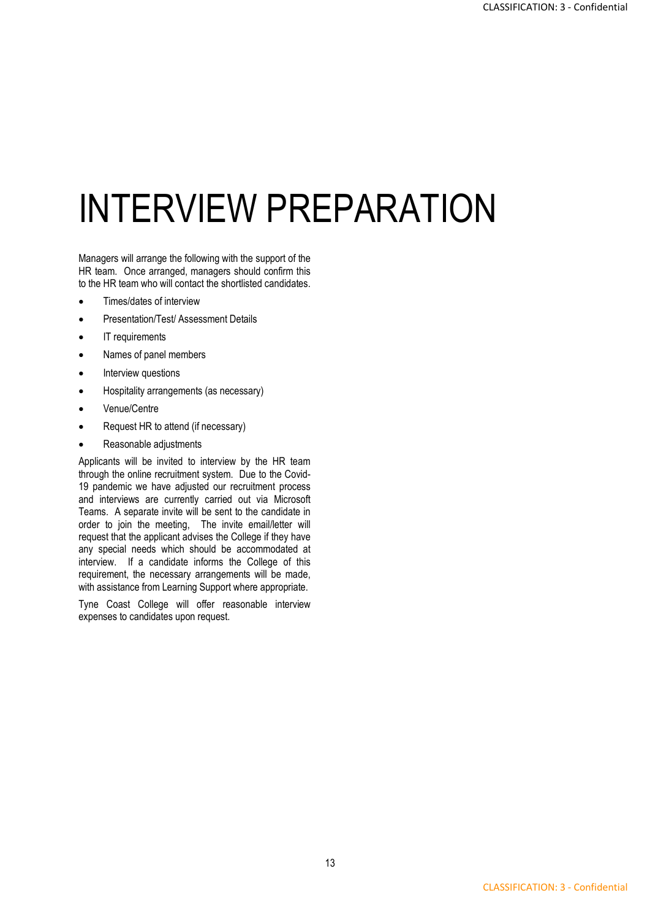# INTERVIEW PREPARATION

Managers will arrange the following with the support of the HR team. Once arranged, managers should confirm this to the HR team who will contact the shortlisted candidates.

- Times/dates of interview
- Presentation/Test/ Assessment Details
- IT requirements
- Names of panel members
- Interview questions
- Hospitality arrangements (as necessary)
- Venue/Centre
- Request HR to attend (if necessary)
- Reasonable adjustments

Applicants will be invited to interview by the HR team through the online recruitment system. Due to the Covid-19 pandemic we have adjusted our recruitment process and interviews are currently carried out via Microsoft Teams. A separate invite will be sent to the candidate in order to join the meeting, The invite email/letter will request that the applicant advises the College if they have any special needs which should be accommodated at interview. If a candidate informs the College of this requirement, the necessary arrangements will be made, with assistance from Learning Support where appropriate.

Tyne Coast College will offer reasonable interview expenses to candidates upon request.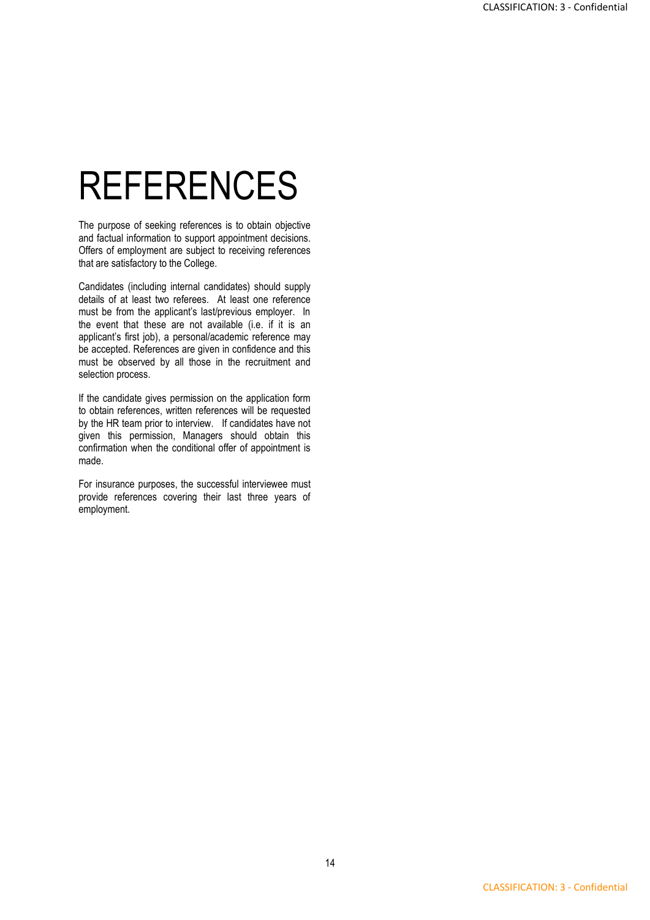## REFERENCES

The purpose of seeking references is to obtain objective and factual information to support appointment decisions. Offers of employment are subject to receiving references that are satisfactory to the College.

Candidates (including internal candidates) should supply details of at least two referees. At least one reference must be from the applicant's last/previous employer. In the event that these are not available (i.e. if it is an applicant's first job), a personal/academic reference may be accepted. References are given in confidence and this must be observed by all those in the recruitment and selection process.

If the candidate gives permission on the application form to obtain references, written references will be requested by the HR team prior to interview. If candidates have not given this permission, Managers should obtain this confirmation when the conditional offer of appointment is made.

For insurance purposes, the successful interviewee must provide references covering their last three years of employment.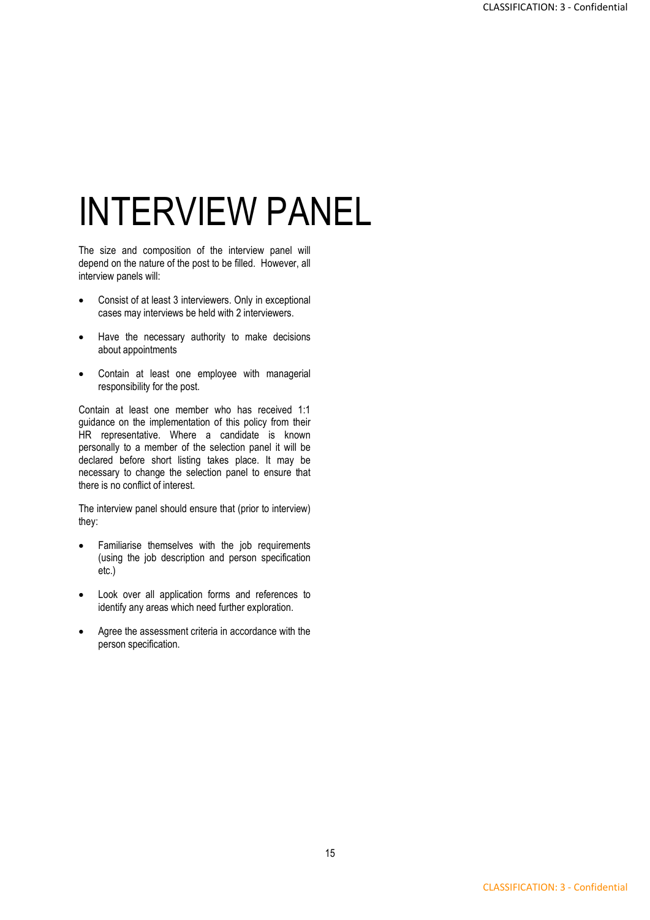# INTERVIEW PANEL

The size and composition of the interview panel will depend on the nature of the post to be filled. However, all interview panels will:

- Consist of at least 3 interviewers. Only in exceptional cases may interviews be held with 2 interviewers.
- Have the necessary authority to make decisions about appointments
- Contain at least one employee with managerial responsibility for the post.

Contain at least one member who has received 1:1 guidance on the implementation of this policy from their HR representative. Where a candidate is known personally to a member of the selection panel it will be declared before short listing takes place. It may be necessary to change the selection panel to ensure that there is no conflict of interest.

The interview panel should ensure that (prior to interview) they:

- Familiarise themselves with the job requirements (using the job description and person specification etc.)
- Look over all application forms and references to identify any areas which need further exploration.
- Agree the assessment criteria in accordance with the person specification.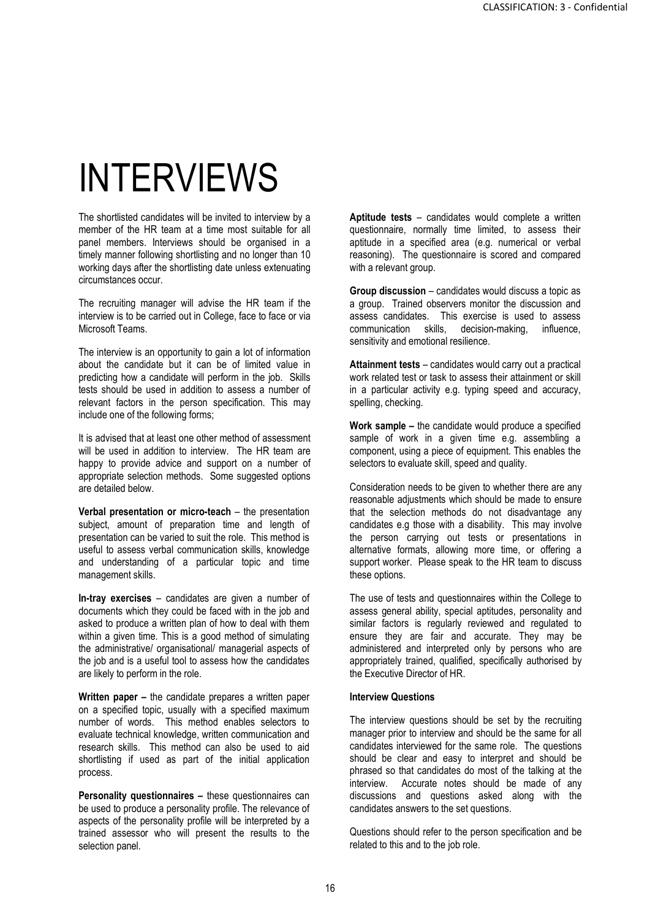## INTERVIEWS

The shortlisted candidates will be invited to interview by a member of the HR team at a time most suitable for all panel members. Interviews should be organised in a timely manner following shortlisting and no longer than 10 working days after the shortlisting date unless extenuating circumstances occur.

The recruiting manager will advise the HR team if the interview is to be carried out in College, face to face or via Microsoft Teams.

The interview is an opportunity to gain a lot of information about the candidate but it can be of limited value in predicting how a candidate will perform in the job. Skills tests should be used in addition to assess a number of relevant factors in the person specification. This may include one of the following forms;

It is advised that at least one other method of assessment will be used in addition to interview. The HR team are happy to provide advice and support on a number of appropriate selection methods. Some suggested options are detailed below.

**Verbal presentation or micro-teach** – the presentation subject, amount of preparation time and length of presentation can be varied to suit the role. This method is useful to assess verbal communication skills, knowledge and understanding of a particular topic and time management skills.

**In-tray exercises** – candidates are given a number of documents which they could be faced with in the job and asked to produce a written plan of how to deal with them within a given time. This is a good method of simulating the administrative/ organisational/ managerial aspects of the job and is a useful tool to assess how the candidates are likely to perform in the role.

**Written paper –** the candidate prepares a written paper on a specified topic, usually with a specified maximum number of words. This method enables selectors to evaluate technical knowledge, written communication and research skills. This method can also be used to aid shortlisting if used as part of the initial application process.

**Personality questionnaires –** these questionnaires can be used to produce a personality profile. The relevance of aspects of the personality profile will be interpreted by a trained assessor who will present the results to the selection panel.

**Aptitude tests** – candidates would complete a written questionnaire, normally time limited, to assess their aptitude in a specified area (e.g. numerical or verbal reasoning). The questionnaire is scored and compared with a relevant group.

**Group discussion** – candidates would discuss a topic as a group. Trained observers monitor the discussion and assess candidates. This exercise is used to assess communication skills, decision-making, influence, sensitivity and emotional resilience.

**Attainment tests** – candidates would carry out a practical work related test or task to assess their attainment or skill in a particular activity e.g. typing speed and accuracy, spelling, checking.

**Work sample –** the candidate would produce a specified sample of work in a given time e.g. assembling a component, using a piece of equipment. This enables the selectors to evaluate skill, speed and quality.

Consideration needs to be given to whether there are any reasonable adjustments which should be made to ensure that the selection methods do not disadvantage any candidates e.g those with a disability. This may involve the person carrying out tests or presentations in alternative formats, allowing more time, or offering a support worker. Please speak to the HR team to discuss these options.

The use of tests and questionnaires within the College to assess general ability, special aptitudes, personality and similar factors is regularly reviewed and regulated to ensure they are fair and accurate. They may be administered and interpreted only by persons who are appropriately trained, qualified, specifically authorised by the Executive Director of HR.

#### **Interview Questions**

The interview questions should be set by the recruiting manager prior to interview and should be the same for all candidates interviewed for the same role. The questions should be clear and easy to interpret and should be phrased so that candidates do most of the talking at the interview. Accurate notes should be made of any discussions and questions asked along with the candidates answers to the set questions.

Questions should refer to the person specification and be related to this and to the job role.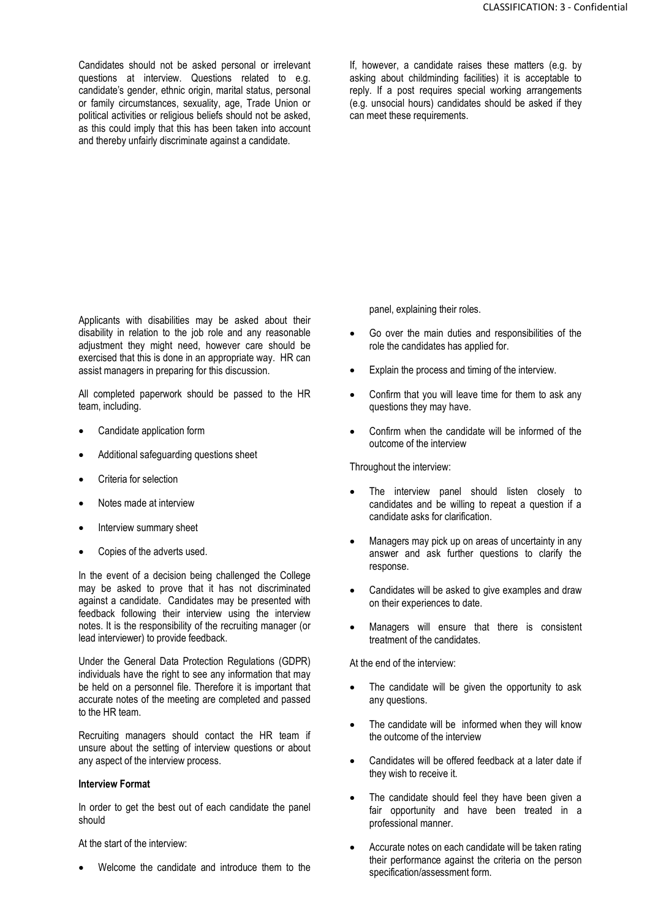Candidates should not be asked personal or irrelevant questions at interview. Questions related to e.g. candidate's gender, ethnic origin, marital status, personal or family circumstances, sexuality, age, Trade Union or political activities or religious beliefs should not be asked, as this could imply that this has been taken into account and thereby unfairly discriminate against a candidate.

If, however, a candidate raises these matters (e.g. by asking about childminding facilities) it is acceptable to reply. If a post requires special working arrangements (e.g. unsocial hours) candidates should be asked if they can meet these requirements.

Applicants with disabilities may be asked about their disability in relation to the job role and any reasonable adjustment they might need, however care should be exercised that this is done in an appropriate way. HR can assist managers in preparing for this discussion.

All completed paperwork should be passed to the HR team, including.

- Candidate application form
- Additional safeguarding questions sheet
- Criteria for selection
- Notes made at interview
- Interview summary sheet
- Copies of the adverts used.

In the event of a decision being challenged the College may be asked to prove that it has not discriminated against a candidate. Candidates may be presented with feedback following their interview using the interview notes. It is the responsibility of the recruiting manager (or lead interviewer) to provide feedback.

Under the General Data Protection Regulations (GDPR) individuals have the right to see any information that may be held on a personnel file. Therefore it is important that accurate notes of the meeting are completed and passed to the HR team.

Recruiting managers should contact the HR team if unsure about the setting of interview questions or about any aspect of the interview process.

#### **Interview Format**

In order to get the best out of each candidate the panel should

At the start of the interview:

Welcome the candidate and introduce them to the

panel, explaining their roles.

- Go over the main duties and responsibilities of the role the candidates has applied for.
- Explain the process and timing of the interview.
- Confirm that you will leave time for them to ask any questions they may have.
- Confirm when the candidate will be informed of the outcome of the interview

Throughout the interview:

- The interview panel should listen closely to candidates and be willing to repeat a question if a candidate asks for clarification.
- Managers may pick up on areas of uncertainty in any answer and ask further questions to clarify the response.
- Candidates will be asked to give examples and draw on their experiences to date.
- Managers will ensure that there is consistent treatment of the candidates.

At the end of the interview:

- The candidate will be given the opportunity to ask any questions.
- The candidate will be informed when they will know the outcome of the interview
- Candidates will be offered feedback at a later date if they wish to receive it.
- The candidate should feel they have been given a fair opportunity and have been treated in a professional manner.
- Accurate notes on each candidate will be taken rating their performance against the criteria on the person specification/assessment form.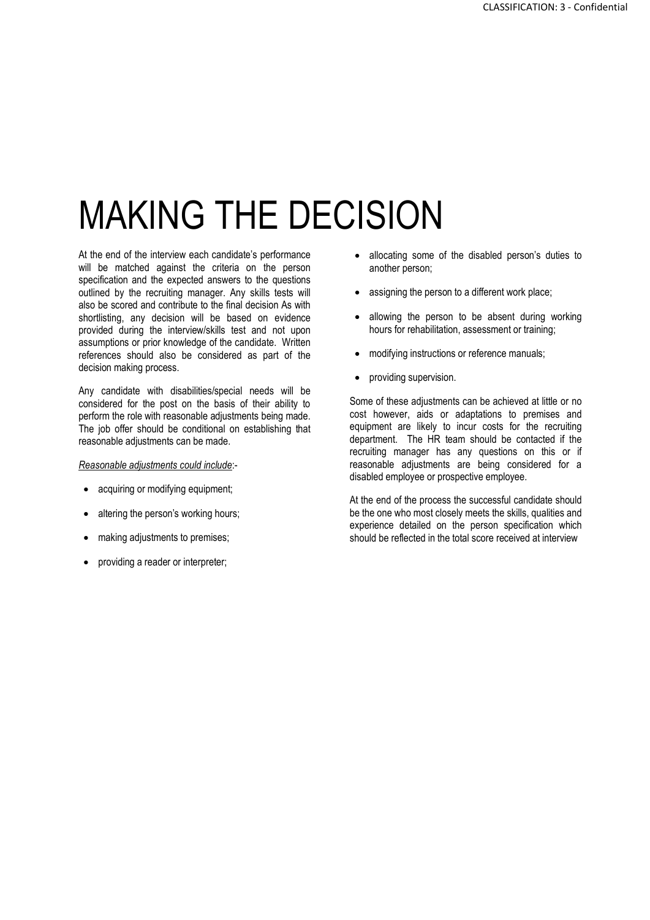## MAKING THE DECISION

At the end of the interview each candidate's performance will be matched against the criteria on the person specification and the expected answers to the questions outlined by the recruiting manager. Any skills tests will also be scored and contribute to the final decision As with shortlisting, any decision will be based on evidence provided during the interview/skills test and not upon assumptions or prior knowledge of the candidate. Written references should also be considered as part of the decision making process.

Any candidate with disabilities/special needs will be considered for the post on the basis of their ability to perform the role with reasonable adjustments being made. The job offer should be conditional on establishing that reasonable adjustments can be made.

*Reasonable adjustments could include*:-

- acquiring or modifying equipment;
- altering the person's working hours;
- making adjustments to premises;
- providing a reader or interpreter;
- allocating some of the disabled person's duties to another person;
- assigning the person to a different work place;
- allowing the person to be absent during working hours for rehabilitation, assessment or training;
- modifying instructions or reference manuals;
- providing supervision.

Some of these adjustments can be achieved at little or no cost however, aids or adaptations to premises and equipment are likely to incur costs for the recruiting department. The HR team should be contacted if the recruiting manager has any questions on this or if reasonable adjustments are being considered for a disabled employee or prospective employee.

At the end of the process the successful candidate should be the one who most closely meets the skills, qualities and experience detailed on the person specification which should be reflected in the total score received at interview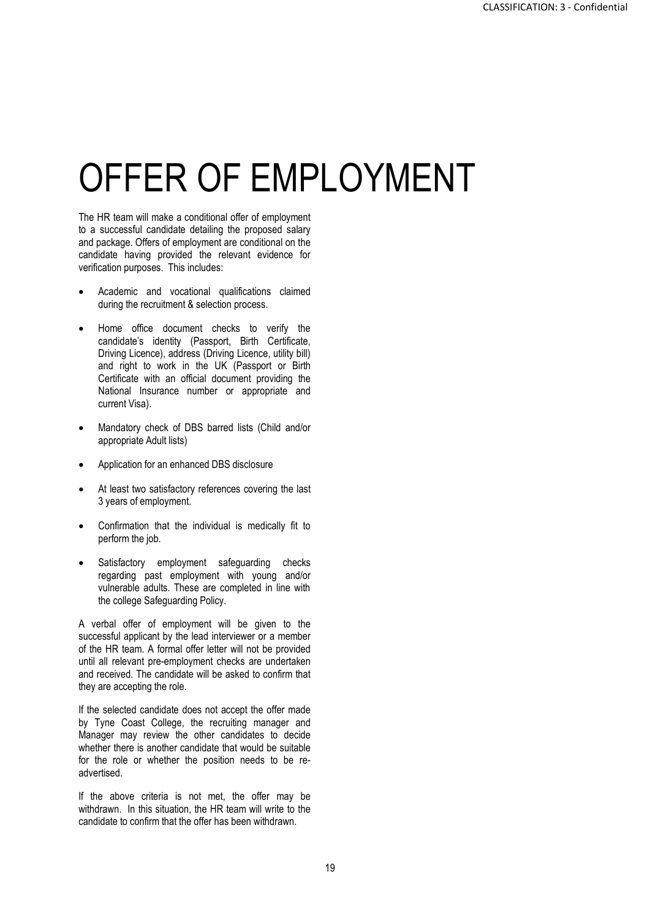## OFFER OF EMPLOYMENT

The HR team will make a conditional offer of employment to a successful candidate detailing the proposed salary and package. Offers of employment are conditional on the candidate having provided the relevant evidence for verification purposes. This includes:

- Academic and vocational qualifications claimed during the recruitment & selection process.
- Home office document checks to verify the candidate's identity (Passport, Birth Certificate, Driving Licence), address (Driving Licence, utility bill) and right to work in the UK (Passport or Birth Certificate with an official document providing the National Insurance number or appropriate and current Visa).
- Mandatory check of DBS barred lists (Child and/or appropriate Adult lists)
- Application for an enhanced DBS disclosure
- At least two satisfactory references covering the last 3 years of employment.
- Confirmation that the individual is medically fit to perform the job.
- Satisfactory employment safeguarding checks regarding past employment with young and/or vulnerable adults. These are completed in line with the college Safeguarding Policy.

A verbal offer of employment will be given to the successful applicant by the lead interviewer or a member of the HR team. A formal offer letter will not be provided until all relevant pre-employment checks are undertaken and received. The candidate will be asked to confirm that they are accepting the role.

If the selected candidate does not accept the offer made by Tyne Coast College, the recruiting manager and Manager may review the other candidates to decide whether there is another candidate that would be suitable for the role or whether the position needs to be readvertised.

If the above criteria is not met, the offer may be withdrawn. In this situation, the HR team will write to the candidate to confirm that the offer has been withdrawn.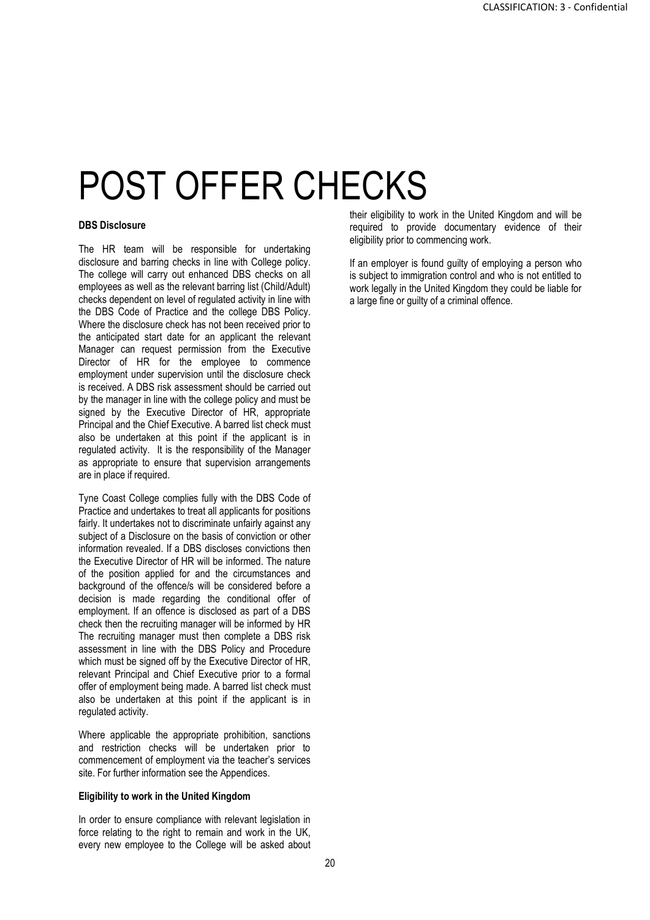### POST OFFER CHECKS

#### **DBS Disclosure**

The HR team will be responsible for undertaking disclosure and barring checks in line with College policy. The college will carry out enhanced DBS checks on all employees as well as the relevant barring list (Child/Adult) checks dependent on level of regulated activity in line with the DBS Code of Practice and the college DBS Policy. Where the disclosure check has not been received prior to the anticipated start date for an applicant the relevant Manager can request permission from the Executive Director of HR for the employee to commence employment under supervision until the disclosure check is received. A DBS risk assessment should be carried out by the manager in line with the college policy and must be signed by the Executive Director of HR, appropriate Principal and the Chief Executive. A barred list check must also be undertaken at this point if the applicant is in regulated activity. It is the responsibility of the Manager as appropriate to ensure that supervision arrangements are in place if required.

Tyne Coast College complies fully with the DBS Code of Practice and undertakes to treat all applicants for positions fairly. It undertakes not to discriminate unfairly against any subject of a Disclosure on the basis of conviction or other information revealed. If a DBS discloses convictions then the Executive Director of HR will be informed. The nature of the position applied for and the circumstances and background of the offence/s will be considered before a decision is made regarding the conditional offer of employment. If an offence is disclosed as part of a DBS check then the recruiting manager will be informed by HR The recruiting manager must then complete a DBS risk assessment in line with the DBS Policy and Procedure which must be signed off by the Executive Director of HR, relevant Principal and Chief Executive prior to a formal offer of employment being made. A barred list check must also be undertaken at this point if the applicant is in regulated activity.

Where applicable the appropriate prohibition, sanctions and restriction checks will be undertaken prior to commencement of employment via the teacher's services site. For further information see the Appendices.

#### **Eligibility to work in the United Kingdom**

In order to ensure compliance with relevant legislation in force relating to the right to remain and work in the UK, every new employee to the College will be asked about their eligibility to work in the United Kingdom and will be required to provide documentary evidence of their eligibility prior to commencing work.

If an employer is found guilty of employing a person who is subject to immigration control and who is not entitled to work legally in the United Kingdom they could be liable for a large fine or guilty of a criminal offence.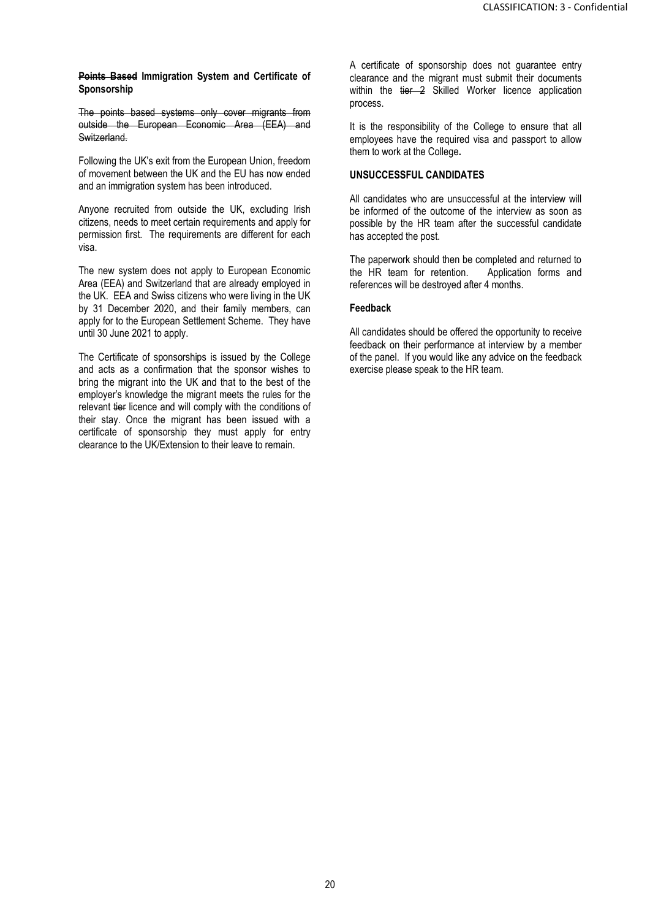**Points Based Immigration System and Certificate of Sponsorship**

The points based systems only cover migrants from outside the European Economic Area (EEA) and Switzerland.

Following the UK's exit from the European Union, freedom of movement between the UK and the EU has now ended and an immigration system has been introduced.

Anyone recruited from outside the UK, excluding Irish citizens, needs to meet certain requirements and apply for permission first. The requirements are different for each visa.

The new system does not apply to European Economic Area (EEA) and Switzerland that are already employed in the UK. EEA and Swiss citizens who were living in the UK by 31 December 2020, and their family members, can apply for to the European Settlement Scheme. They have until 30 June 2021 to apply.

The Certificate of sponsorships is issued by the College and acts as a confirmation that the sponsor wishes to bring the migrant into the UK and that to the best of the employer's knowledge the migrant meets the rules for the relevant tier licence and will comply with the conditions of their stay. Once the migrant has been issued with a certificate of sponsorship they must apply for entry clearance to the UK/Extension to their leave to remain.

A certificate of sponsorship does not guarantee entry clearance and the migrant must submit their documents within the tier 2 Skilled Worker licence application process.

It is the responsibility of the College to ensure that all employees have the required visa and passport to allow them to work at the College**.** 

#### **UNSUCCESSFUL CANDIDATES**

All candidates who are unsuccessful at the interview will be informed of the outcome of the interview as soon as possible by the HR team after the successful candidate has accepted the post.

The paperwork should then be completed and returned to the HR team for retention. Application forms and references will be destroyed after 4 months.

#### **Feedback**

All candidates should be offered the opportunity to receive feedback on their performance at interview by a member of the panel. If you would like any advice on the feedback exercise please speak to the HR team.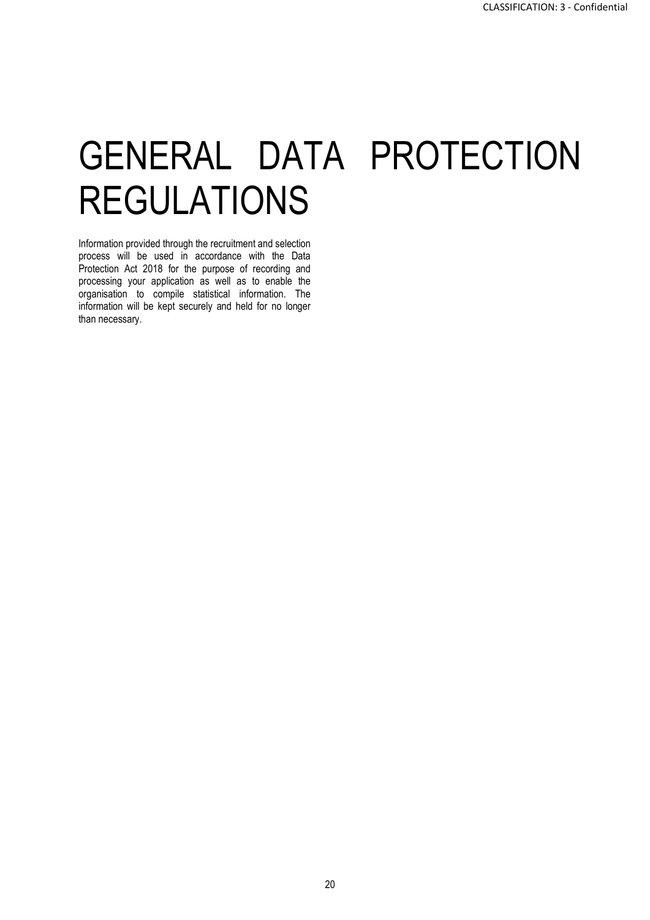# GENERAL DATA PROTECTION REGULATIONS

Information provided through the recruitment and selection process will be used in accordance with the Data Protection Act 2018 for the purpose of recording and processing your application as well as to enable the organisation to compile statistical information. The information will be kept securely and held for no longer than necessary.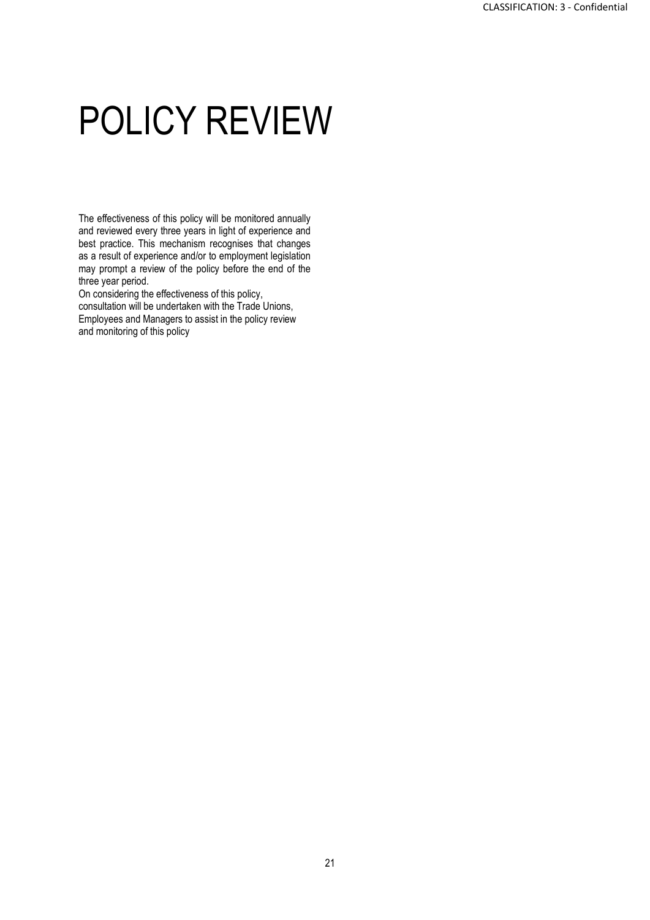## POLICY REVIEW

The effectiveness of this policy will be monitored annually and reviewed every three years in light of experience and best practice. This mechanism recognises that changes as a result of experience and/or to employment legislation may prompt a review of the policy before the end of the three year period.

On considering the effectiveness of this policy,

consultation will be undertaken with the Trade Unions, Employees and Managers to assist in the policy review and monitoring of this policy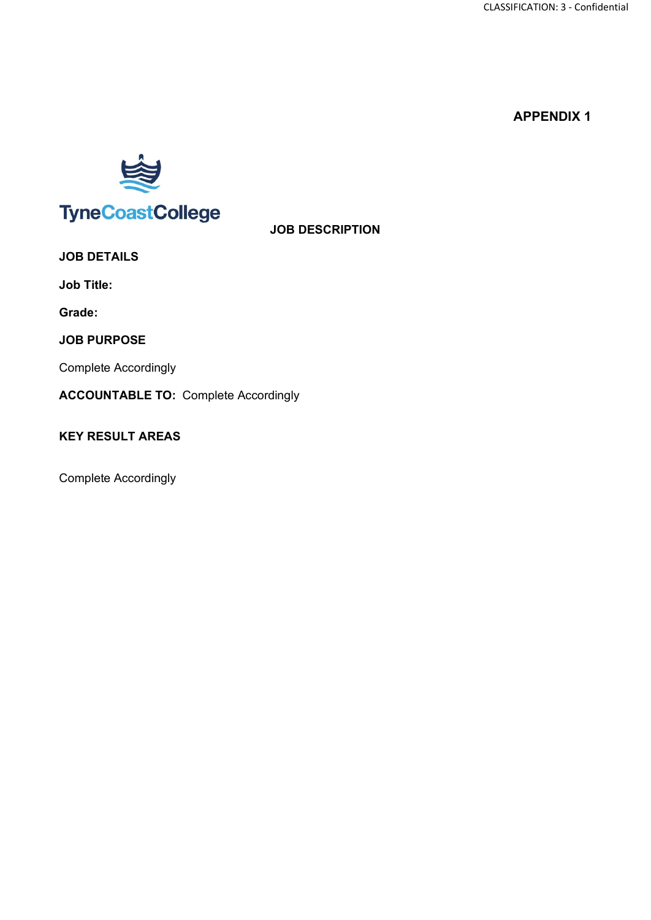

**TyneCoastCollege** 

**JOB DESCRIPTION**

**JOB DETAILS**

**Job Title:** 

**Grade:**

**JOB PURPOSE**

Complete Accordingly

**ACCOUNTABLE TO:** Complete Accordingly

### **KEY RESULT AREAS**

Complete Accordingly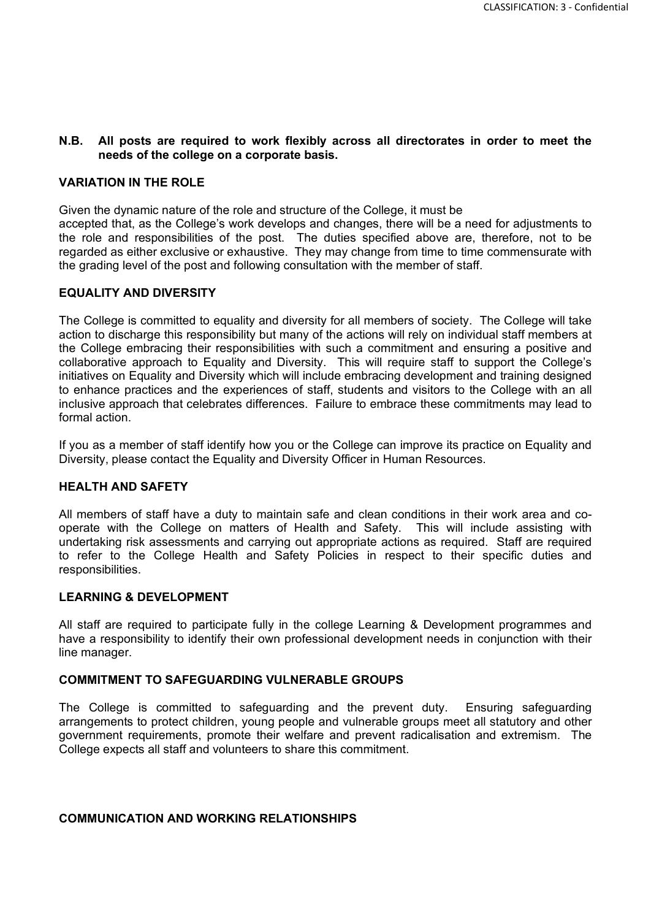#### **N.B. All posts are required to work flexibly across all directorates in order to meet the needs of the college on a corporate basis.**

#### **VARIATION IN THE ROLE**

Given the dynamic nature of the role and structure of the College, it must be

accepted that, as the College's work develops and changes, there will be a need for adjustments to the role and responsibilities of the post. The duties specified above are, therefore, not to be regarded as either exclusive or exhaustive. They may change from time to time commensurate with the grading level of the post and following consultation with the member of staff.

#### **EQUALITY AND DIVERSITY**

The College is committed to equality and diversity for all members of society. The College will take action to discharge this responsibility but many of the actions will rely on individual staff members at the College embracing their responsibilities with such a commitment and ensuring a positive and collaborative approach to Equality and Diversity. This will require staff to support the College's initiatives on Equality and Diversity which will include embracing development and training designed to enhance practices and the experiences of staff, students and visitors to the College with an all inclusive approach that celebrates differences. Failure to embrace these commitments may lead to formal action.

If you as a member of staff identify how you or the College can improve its practice on Equality and Diversity, please contact the Equality and Diversity Officer in Human Resources.

#### **HEALTH AND SAFETY**

All members of staff have a duty to maintain safe and clean conditions in their work area and cooperate with the College on matters of Health and Safety. This will include assisting with undertaking risk assessments and carrying out appropriate actions as required. Staff are required to refer to the College Health and Safety Policies in respect to their specific duties and responsibilities.

#### **LEARNING & DEVELOPMENT**

All staff are required to participate fully in the college Learning & Development programmes and have a responsibility to identify their own professional development needs in conjunction with their line manager.

#### **COMMITMENT TO SAFEGUARDING VULNERABLE GROUPS**

The College is committed to safeguarding and the prevent duty. Ensuring safeguarding arrangements to protect children, young people and vulnerable groups meet all statutory and other government requirements, promote their welfare and prevent radicalisation and extremism. The College expects all staff and volunteers to share this commitment.

#### **COMMUNICATION AND WORKING RELATIONSHIPS**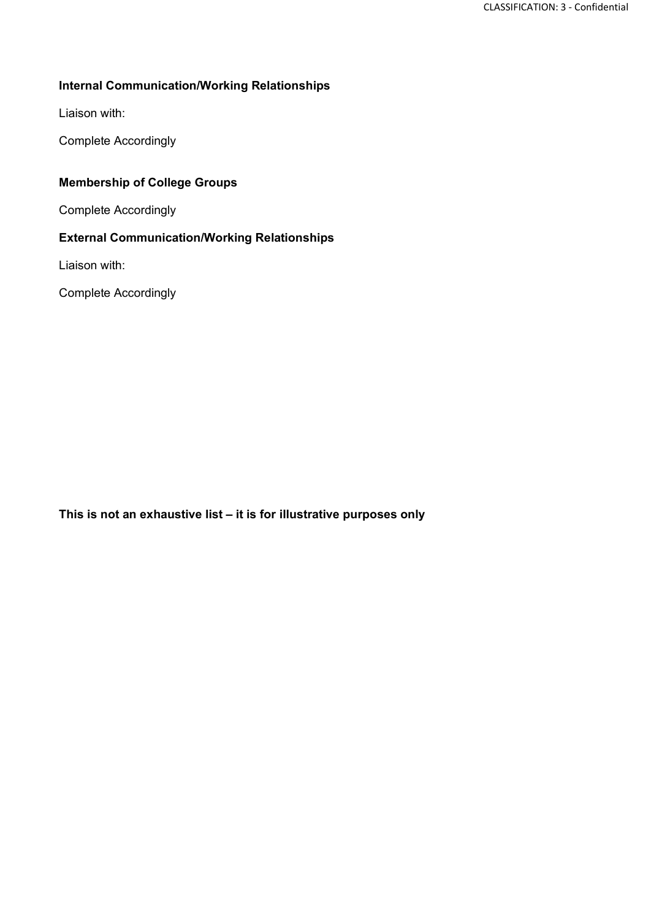### **Internal Communication/Working Relationships**

Liaison with:

Complete Accordingly

### **Membership of College Groups**

Complete Accordingly

### **External Communication/Working Relationships**

Liaison with:

Complete Accordingly

**This is not an exhaustive list – it is for illustrative purposes only**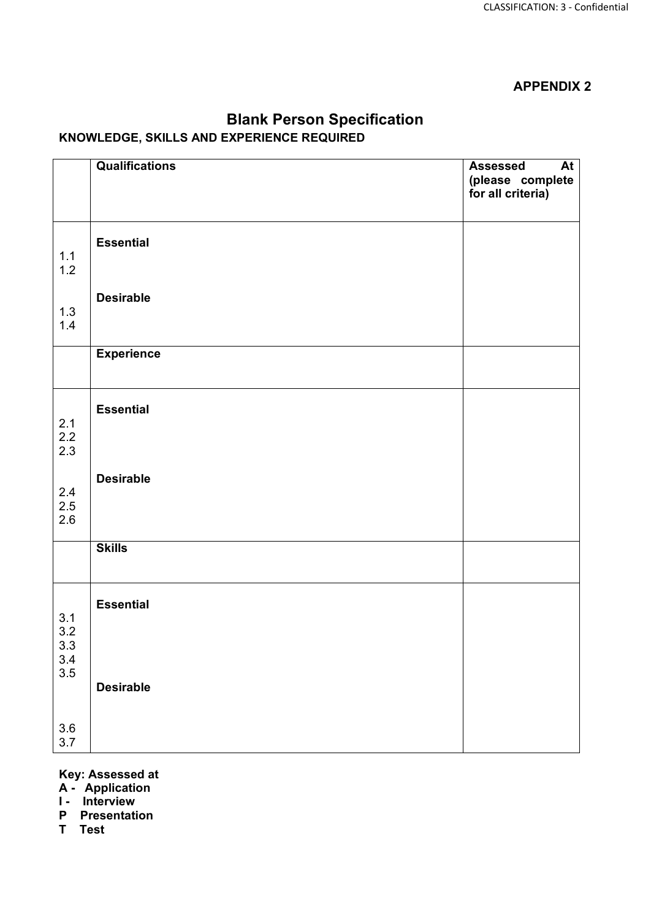|                       | <b>Qualifications</b> | <b>At</b><br><b>Assessed</b><br>(please complete<br>for all criteria) |
|-----------------------|-----------------------|-----------------------------------------------------------------------|
| $1.1$<br>$1.2$        | <b>Essential</b>      |                                                                       |
| $1.3$<br>$1.4$        | <b>Desirable</b>      |                                                                       |
|                       | <b>Experience</b>     |                                                                       |
| $2.1$<br>$2.2$<br>2.3 | <b>Essential</b>      |                                                                       |
| 2.4<br>2.5<br>2.6     | <b>Desirable</b>      |                                                                       |
|                       | <b>Skills</b>         |                                                                       |
| 3.1<br>3.2<br>$3.3\,$ | <b>Essential</b>      |                                                                       |
| $3.4$<br>$3.5$        | <b>Desirable</b>      |                                                                       |
| 3.6<br>3.7            |                       |                                                                       |

### **Blank Person Specification KNOWLEDGE, SKILLS AND EXPERIENCE REQUIRED**

#### **Key: Assessed at**

- **A Application**
- **I Interview**
- **P Presentation**
- **T Test**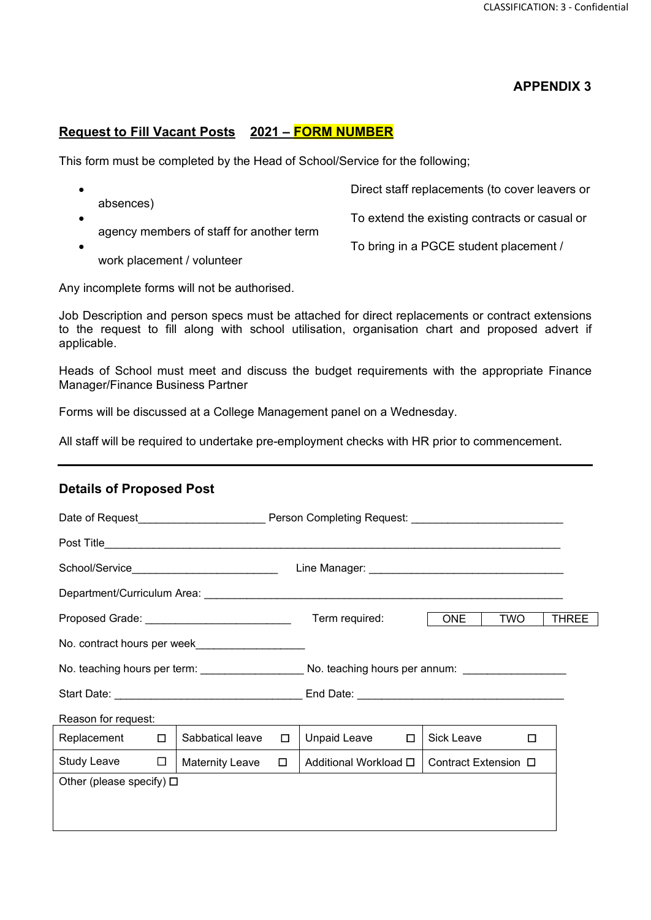#### **Request to Fill Vacant Posts 2021 – FORM NUMBER**

This form must be completed by the Head of School/Service for the following;

| absences)                                | Direct staff replacements (to cover leavers or |
|------------------------------------------|------------------------------------------------|
|                                          | To extend the existing contracts or casual or  |
| agency members of staff for another term | To bring in a PGCE student placement /         |
| work placement / volunteer               |                                                |

Any incomplete forms will not be authorised.

Job Description and person specs must be attached for direct replacements or contract extensions to the request to fill along with school utilisation, organisation chart and proposed advert if applicable.

Heads of School must meet and discuss the budget requirements with the appropriate Finance Manager/Finance Business Partner

Forms will be discussed at a College Management panel on a Wednesday.

All staff will be required to undertake pre-employment checks with HR prior to commencement.

#### **Details of Proposed Post**

| Date of Request____________________________Person Completing Request: _____________________________ |        |                                               |        |                                                                                                |                            |  |  |
|-----------------------------------------------------------------------------------------------------|--------|-----------------------------------------------|--------|------------------------------------------------------------------------------------------------|----------------------------|--|--|
|                                                                                                     |        |                                               |        |                                                                                                |                            |  |  |
| School/Service______________________________                                                        |        |                                               |        |                                                                                                |                            |  |  |
|                                                                                                     |        |                                               |        |                                                                                                |                            |  |  |
|                                                                                                     |        | Proposed Grade: _____________________________ |        | Term required:                                                                                 | ONE<br>TWO<br><b>THREE</b> |  |  |
| No. contract hours per week                                                                         |        |                                               |        |                                                                                                |                            |  |  |
|                                                                                                     |        |                                               |        | No. teaching hours per term: __________________No. teaching hours per annum: _________________ |                            |  |  |
|                                                                                                     |        |                                               |        |                                                                                                |                            |  |  |
| Reason for request:                                                                                 |        |                                               |        |                                                                                                |                            |  |  |
| Replacement                                                                                         | $\Box$ | Sabbatical leave                              | $\Box$ | Unpaid Leave<br>$\Box$                                                                         | Sick Leave<br>□            |  |  |
| Study Leave                                                                                         | $\Box$ | Maternity Leave                               | $\Box$ | Additional Workload <b>□</b>                                                                   | Contract Extension □       |  |  |
| Other (please specify) $\Box$                                                                       |        |                                               |        |                                                                                                |                            |  |  |
|                                                                                                     |        |                                               |        |                                                                                                |                            |  |  |
|                                                                                                     |        |                                               |        |                                                                                                |                            |  |  |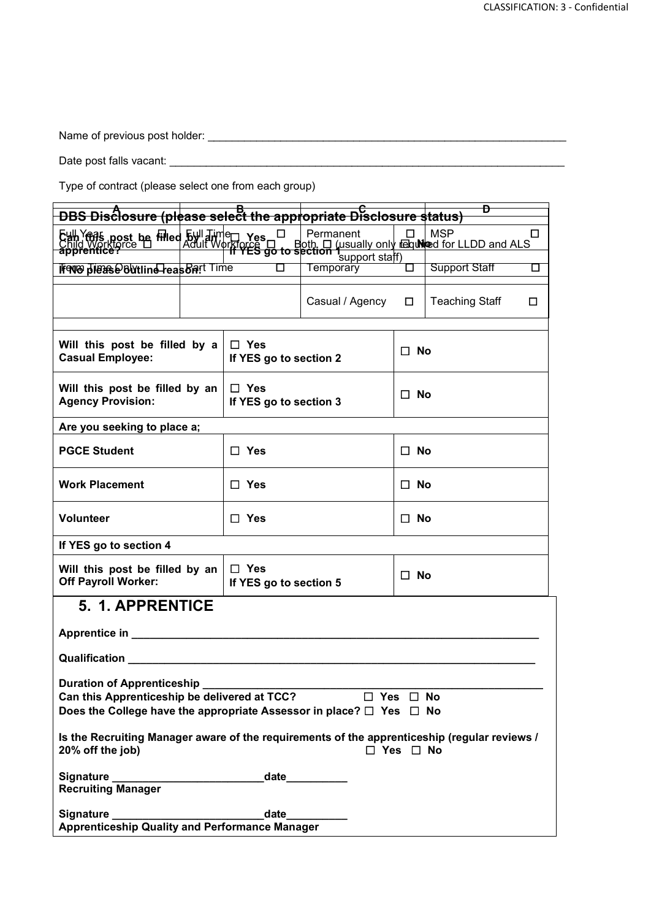Name of previous post holder: \_\_\_\_\_\_\_\_\_\_\_\_\_\_\_\_\_\_\_\_\_\_\_\_\_\_\_\_\_\_\_\_\_\_\_\_\_\_\_\_\_\_\_\_\_\_\_\_\_\_\_\_\_\_\_\_\_\_\_

Date post falls vacant: \_\_\_\_\_\_\_\_\_\_\_\_\_\_\_\_\_\_\_\_\_\_\_\_\_\_\_\_\_\_\_\_\_\_\_\_\_\_\_\_\_\_\_\_\_\_\_\_\_\_\_\_\_\_\_\_\_\_\_\_\_\_\_\_\_

Type of contract (please select one from each group)

| <b>DBS Disclosure (please select the appropriate Disclosure status)</b>                                                                                                                                                        |  |                                      |                                    |                      | D                     |    |  |
|--------------------------------------------------------------------------------------------------------------------------------------------------------------------------------------------------------------------------------|--|--------------------------------------|------------------------------------|----------------------|-----------------------|----|--|
| Eull Year post be filled 5ull Time res □ Permanent □ □ MSP<br>Child Workigree □ Adult Workforce □ Both □ (usually only regulated for LLDD and ALS)                                                                             |  |                                      | Permanent                          | $\Box$               | <b>MSP</b>            | □  |  |
| Frent please buttline reasonst Time                                                                                                                                                                                            |  | О                                    | support staff)<br><b>Temporary</b> | П                    | <b>Support Staff</b>  | □  |  |
|                                                                                                                                                                                                                                |  |                                      | Casual / Agency                    | $\Box$               | <b>Teaching Staff</b> | 0. |  |
| Will this post be filled by a<br>$\Box$ Yes<br><b>Casual Employee:</b><br>If YES go to section 2                                                                                                                               |  |                                      |                                    | $\Box$ No            |                       |    |  |
| $\Box$ Yes<br>Will this post be filled by an<br><b>Agency Provision:</b><br>If YES go to section 3                                                                                                                             |  |                                      |                                    | $\Box$ No            |                       |    |  |
| Are you seeking to place a;                                                                                                                                                                                                    |  |                                      |                                    |                      |                       |    |  |
| <b>PGCE Student</b><br>$\Box$ Yes                                                                                                                                                                                              |  |                                      |                                    |                      | $\Box$ No             |    |  |
| <b>Work Placement</b>                                                                                                                                                                                                          |  | $\Box$ Yes                           |                                    |                      | $\Box$ No             |    |  |
| <b>Volunteer</b><br>$\Box$ Yes                                                                                                                                                                                                 |  |                                      |                                    | $\Box$ No            |                       |    |  |
| If YES go to section 4                                                                                                                                                                                                         |  |                                      |                                    |                      |                       |    |  |
| Will this post be filled by an<br><b>Off Payroll Worker:</b>                                                                                                                                                                   |  | $\Box$ Yes<br>If YES go to section 5 |                                    | $\Box$ No            |                       |    |  |
| <b>5. 1. APPRENTICE</b>                                                                                                                                                                                                        |  |                                      |                                    |                      |                       |    |  |
| Apprentice in ________                                                                                                                                                                                                         |  |                                      |                                    |                      |                       |    |  |
| Qualification Network and Contract to the Contract of the Contract of the Contract of the Contract of the Contract of the Contract of the Contract of the Contract of the Contract of the Contract of the Contract of the Cont |  |                                      |                                    |                      |                       |    |  |
| Duration of Apprenticeship _<br>Can this Apprenticeship be delivered at TCC? □ Yes □ No<br>Does the College have the appropriate Assessor in place? $\Box$ Yes $\Box$ No                                                       |  |                                      |                                    |                      |                       |    |  |
| Is the Recruiting Manager aware of the requirements of the apprenticeship (regular reviews /<br>20% off the job)                                                                                                               |  |                                      |                                    | $\Box$ Yes $\Box$ No |                       |    |  |
| <b>Recruiting Manager</b>                                                                                                                                                                                                      |  |                                      |                                    |                      |                       |    |  |
|                                                                                                                                                                                                                                |  |                                      | $_{\text{date}}$                   |                      |                       |    |  |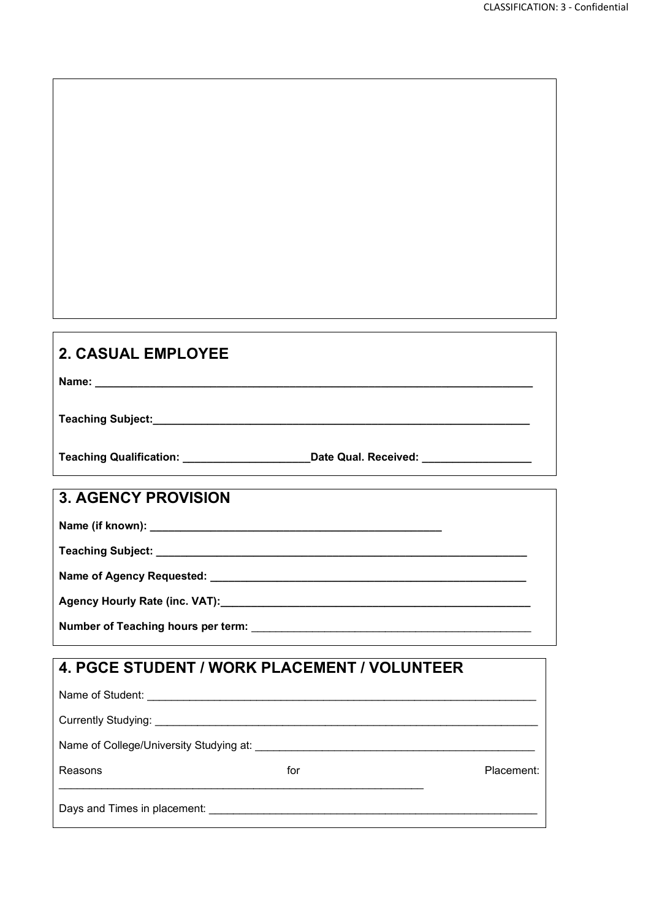| <b>2. CASUAL EMPLOYEE</b>                                                                                                                                                                                                      |     |            |
|--------------------------------------------------------------------------------------------------------------------------------------------------------------------------------------------------------------------------------|-----|------------|
|                                                                                                                                                                                                                                |     |            |
|                                                                                                                                                                                                                                |     |            |
| Teaching Qualification: ____________________________Date Qual. Received: __________________________                                                                                                                            |     |            |
| <b>3. AGENCY PROVISION</b>                                                                                                                                                                                                     |     |            |
|                                                                                                                                                                                                                                |     |            |
|                                                                                                                                                                                                                                |     |            |
|                                                                                                                                                                                                                                |     |            |
|                                                                                                                                                                                                                                |     |            |
| Number of Teaching hours per term: Number of Teaching and the control of the control of the control of the control of the control of the control of the control of the control of the control of the control of the control of |     |            |
| 4. PGCE STUDENT / WORK PLACEMENT / VOLUNTEER                                                                                                                                                                                   |     |            |
|                                                                                                                                                                                                                                |     |            |
|                                                                                                                                                                                                                                |     |            |
|                                                                                                                                                                                                                                |     |            |
| Reasons                                                                                                                                                                                                                        | for | Placement: |
|                                                                                                                                                                                                                                |     |            |
|                                                                                                                                                                                                                                |     |            |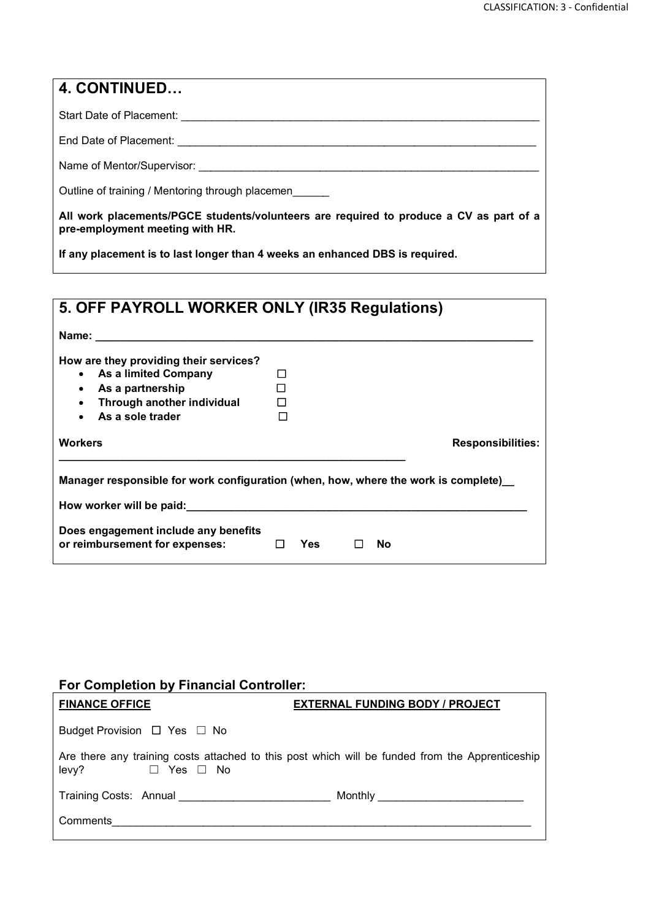| $\vert$ 4. CONTINUED                                                                                                      |
|---------------------------------------------------------------------------------------------------------------------------|
| Start Date of Placement: Start Date of Placement:                                                                         |
| End Date of Placement: <b>Container and Date of Placement: Container and Date of Placement:</b>                           |
| Name of Mentor/Supervisor: Name of Mentor/Supervisor:                                                                     |
| Outline of training / Mentoring through placemen                                                                          |
| All work placements/PGCE students/volunteers are required to produce a CV as part of a<br>pre-employment meeting with HR. |
| If any placement is to last longer than 4 weeks an enhanced DBS is required.                                              |

| 5. OFF PAYROLL WORKER ONLY (IR35 Regulations)                                                                                                                                                                                            |                  |     |  |                          |  |  |  |
|------------------------------------------------------------------------------------------------------------------------------------------------------------------------------------------------------------------------------------------|------------------|-----|--|--------------------------|--|--|--|
| <b>Name:</b> <u>Name:</u> Name: 2008. 2008. 2008. 2008. 2008. 2008. 2008. 2008. 2008. 2008. 2008. 2008. 2008. 2008. 2008. 2008. 2008. 2008. 2008. 2008. 2008. 2008. 2008. 2008. 2008. 2008. 2008. 2008. 2008. 2008. 2008. 2008. 2008. 20 |                  |     |  |                          |  |  |  |
| How are they providing their services?<br>• As a limited Company<br>As a partnership<br>$\bullet$<br>Through another individual<br>$\bullet$<br>As a sole trader<br>$\bullet$                                                            | П<br>П<br>П<br>П |     |  |                          |  |  |  |
| <b>Workers</b>                                                                                                                                                                                                                           |                  |     |  | <b>Responsibilities:</b> |  |  |  |
| Manager responsible for work configuration (when, how, where the work is complete)<br>How worker will be paid:                                                                                                                           |                  |     |  |                          |  |  |  |
| Does engagement include any benefits<br>or reimbursement for expenses:                                                                                                                                                                   | $\Box$           | Yes |  | <b>No</b>                |  |  |  |

### **For Completion by Financial Controller:**

| <b>FINANCE OFFICE</b>                 | <b>EXTERNAL FUNDING BODY / PROJECT</b>                                                          |
|---------------------------------------|-------------------------------------------------------------------------------------------------|
| Budget Provision $\Box$ Yes $\Box$ No |                                                                                                 |
| levy?<br>$\Box$ Yes $\Box$ No         | Are there any training costs attached to this post which will be funded from the Apprenticeship |
| Training Costs: Annual                | Monthly __________________________________                                                      |
| Comments                              |                                                                                                 |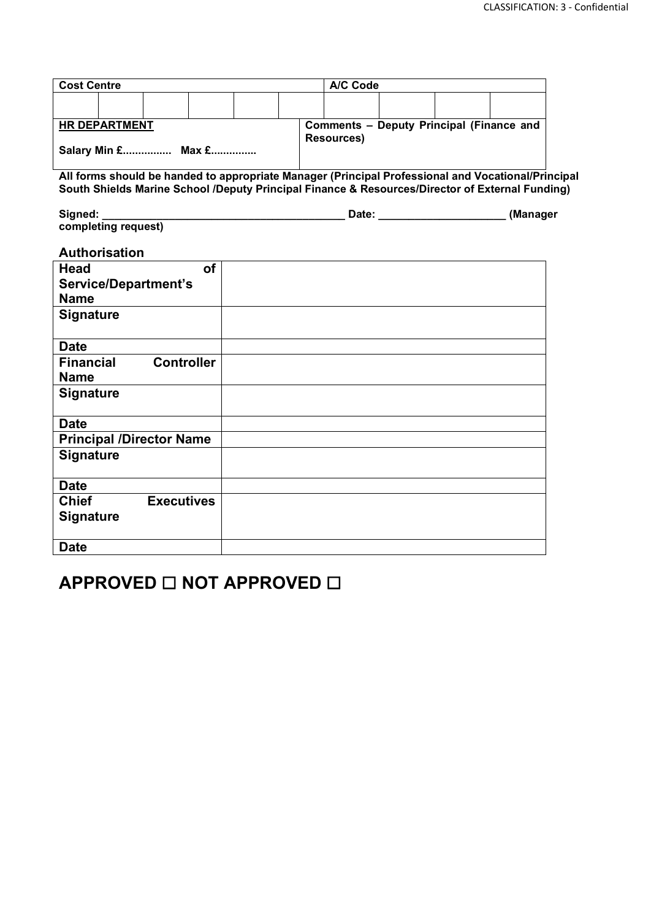| <b>Cost Centre</b>                                                                              |                      |                                 |           |  |  | A/C Code                                 |                                                                                                    |  |  |  |
|-------------------------------------------------------------------------------------------------|----------------------|---------------------------------|-----------|--|--|------------------------------------------|----------------------------------------------------------------------------------------------------|--|--|--|
|                                                                                                 |                      |                                 |           |  |  |                                          |                                                                                                    |  |  |  |
|                                                                                                 |                      |                                 |           |  |  |                                          |                                                                                                    |  |  |  |
|                                                                                                 | <b>HR DEPARTMENT</b> |                                 |           |  |  | Comments - Deputy Principal (Finance and |                                                                                                    |  |  |  |
|                                                                                                 |                      |                                 |           |  |  | <b>Resources)</b>                        |                                                                                                    |  |  |  |
|                                                                                                 | Salary Min £ Max £   |                                 |           |  |  |                                          |                                                                                                    |  |  |  |
|                                                                                                 |                      |                                 |           |  |  |                                          | All forms should be handed to appropriate Manager (Principal Professional and Vocational/Principal |  |  |  |
| South Shields Marine School /Deputy Principal Finance & Resources/Director of External Funding) |                      |                                 |           |  |  |                                          |                                                                                                    |  |  |  |
|                                                                                                 |                      |                                 |           |  |  |                                          |                                                                                                    |  |  |  |
| Signed:                                                                                         | completing request)  |                                 |           |  |  |                                          |                                                                                                    |  |  |  |
|                                                                                                 |                      |                                 |           |  |  |                                          |                                                                                                    |  |  |  |
|                                                                                                 | <b>Authorisation</b> |                                 |           |  |  |                                          |                                                                                                    |  |  |  |
| <b>Head</b>                                                                                     |                      |                                 | <b>of</b> |  |  |                                          |                                                                                                    |  |  |  |
|                                                                                                 |                      | <b>Service/Department's</b>     |           |  |  |                                          |                                                                                                    |  |  |  |
| <b>Name</b>                                                                                     |                      |                                 |           |  |  |                                          |                                                                                                    |  |  |  |
| <b>Signature</b>                                                                                |                      |                                 |           |  |  |                                          |                                                                                                    |  |  |  |
|                                                                                                 |                      |                                 |           |  |  |                                          |                                                                                                    |  |  |  |
| <b>Date</b>                                                                                     |                      |                                 |           |  |  |                                          |                                                                                                    |  |  |  |
| <b>Financial</b>                                                                                |                      | <b>Controller</b>               |           |  |  |                                          |                                                                                                    |  |  |  |
| <b>Name</b>                                                                                     |                      |                                 |           |  |  |                                          |                                                                                                    |  |  |  |
| <b>Signature</b>                                                                                |                      |                                 |           |  |  |                                          |                                                                                                    |  |  |  |
|                                                                                                 |                      |                                 |           |  |  |                                          |                                                                                                    |  |  |  |
| <b>Date</b>                                                                                     |                      |                                 |           |  |  |                                          |                                                                                                    |  |  |  |
|                                                                                                 |                      | <b>Principal /Director Name</b> |           |  |  |                                          |                                                                                                    |  |  |  |
| <b>Signature</b>                                                                                |                      |                                 |           |  |  |                                          |                                                                                                    |  |  |  |
|                                                                                                 |                      |                                 |           |  |  |                                          |                                                                                                    |  |  |  |
| <b>Date</b>                                                                                     |                      |                                 |           |  |  |                                          |                                                                                                    |  |  |  |
| <b>Chief</b>                                                                                    |                      | <b>Executives</b>               |           |  |  |                                          |                                                                                                    |  |  |  |
| <b>Signature</b>                                                                                |                      |                                 |           |  |  |                                          |                                                                                                    |  |  |  |
|                                                                                                 |                      |                                 |           |  |  |                                          |                                                                                                    |  |  |  |
| <b>Date</b>                                                                                     |                      |                                 |           |  |  |                                          |                                                                                                    |  |  |  |

### **APPROVED** ☐ **NOT APPROVED** ☐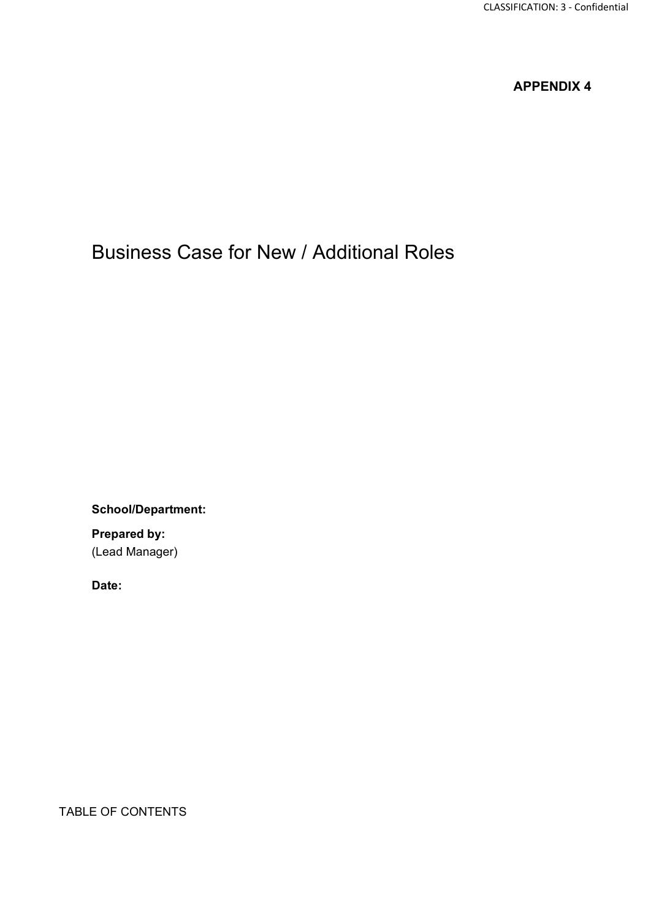### Business Case for New / Additional Roles

**School/Department:**

**Prepared by:** (Lead Manager)

**Date:**

TABLE OF CONTENTS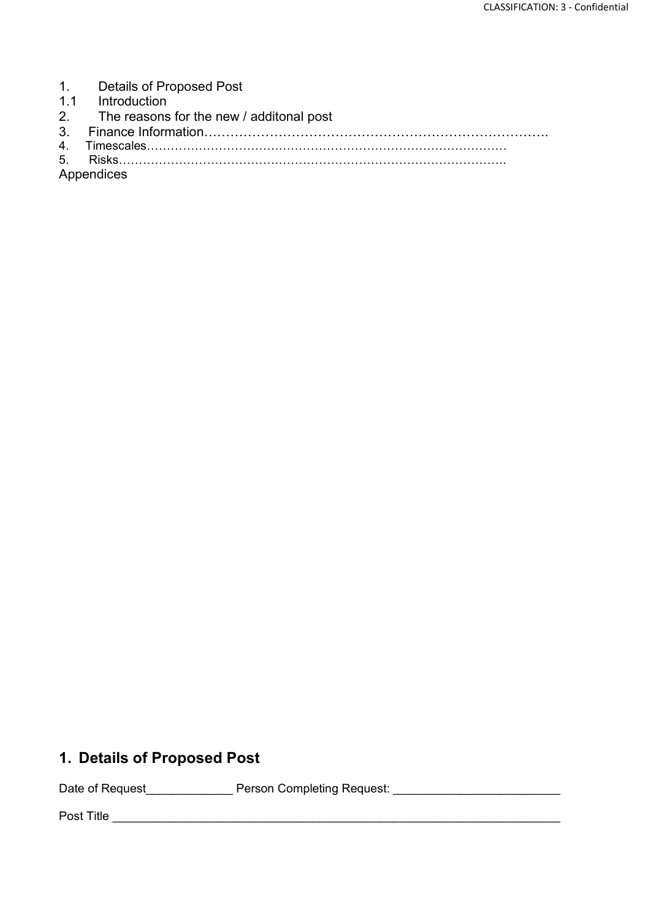- 1. Details of Proposed Post<br>1.1 Introduction
- 1.1 Introduction<br>2 The reasons
- 2. The reasons for the new / additonal post<br>3. Finance Information..................................
- 3. Finance Information…………………………………………………………………….
- 4. Timescales……………………………………………………………………………… 5. Risks…………………………………………………………………………………….

Appendices

### **1. Details of Proposed Post**

Date of Request\_\_\_\_\_\_\_\_\_\_\_\_\_\_\_\_ Person Completing Request: \_\_\_\_\_\_\_\_\_\_\_\_\_\_\_\_\_\_\_\_\_

Post Title \_\_\_\_\_\_\_\_\_\_\_\_\_\_\_\_\_\_\_\_\_\_\_\_\_\_\_\_\_\_\_\_\_\_\_\_\_\_\_\_\_\_\_\_\_\_\_\_\_\_\_\_\_\_\_\_\_\_\_\_\_\_\_\_\_\_\_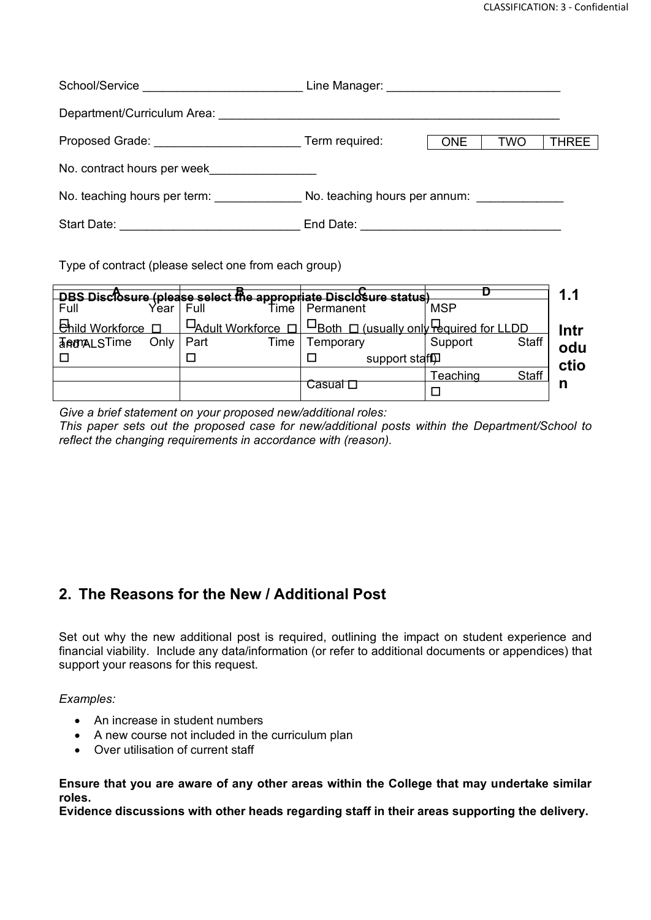| School/Service<br><u> Communication</u>                                                                        |                |            |            |              |
|----------------------------------------------------------------------------------------------------------------|----------------|------------|------------|--------------|
| Department/Curriculum Area:                                                                                    |                |            |            |              |
| Proposed Grade: The Contract of the Contract of the Contract of the Contract of the Contract of the Contract o | Term required: | <b>ONE</b> | <b>TWO</b> | <b>THREE</b> |
| No. contract hours per week                                                                                    |                |            |            |              |
| No. teaching hours per term:                                                                                   |                |            |            |              |
| Start Date:                                                                                                    | End Date:      |            |            |              |

Type of contract (please select one from each group)

|                        |      |                  |      | DRS Discheure (please select the appropriate Disclosure statud) |                  |              | 1.1  |
|------------------------|------|------------------|------|-----------------------------------------------------------------|------------------|--------------|------|
| Full                   | ∕ear | Full             | ⊺ime | Permanent                                                       | <b>MSP</b>       |              |      |
| <b>Enild Workforce</b> |      | -Adult Workforce |      | $\Box$ Both $\Box$ (usually only required for LLDD              |                  |              | Intr |
| <b>TRAMALSTime</b>     | Only | Part             | Time | ⊺emporary                                                       | Support          | <b>Staff</b> | odu  |
|                        |      |                  |      | support staff                                                   |                  |              | ctio |
|                        |      |                  |      |                                                                 | <u> Feaching</u> | <b>Staff</b> |      |
|                        |      |                  |      | Casual L                                                        |                  |              |      |

*Give a brief statement on your proposed new/additional roles:*

*This paper sets out the proposed case for new/additional posts within the Department/School to reflect the changing requirements in accordance with (reason).*

### **2. The Reasons for the New / Additional Post**

Set out why the new additional post is required, outlining the impact on student experience and financial viability. Include any data/information (or refer to additional documents or appendices) that support your reasons for this request.

*Examples:*

- An increase in student numbers
- A new course not included in the curriculum plan
- Over utilisation of current staff

**Ensure that you are aware of any other areas within the College that may undertake similar roles.**

**Evidence discussions with other heads regarding staff in their areas supporting the delivery.**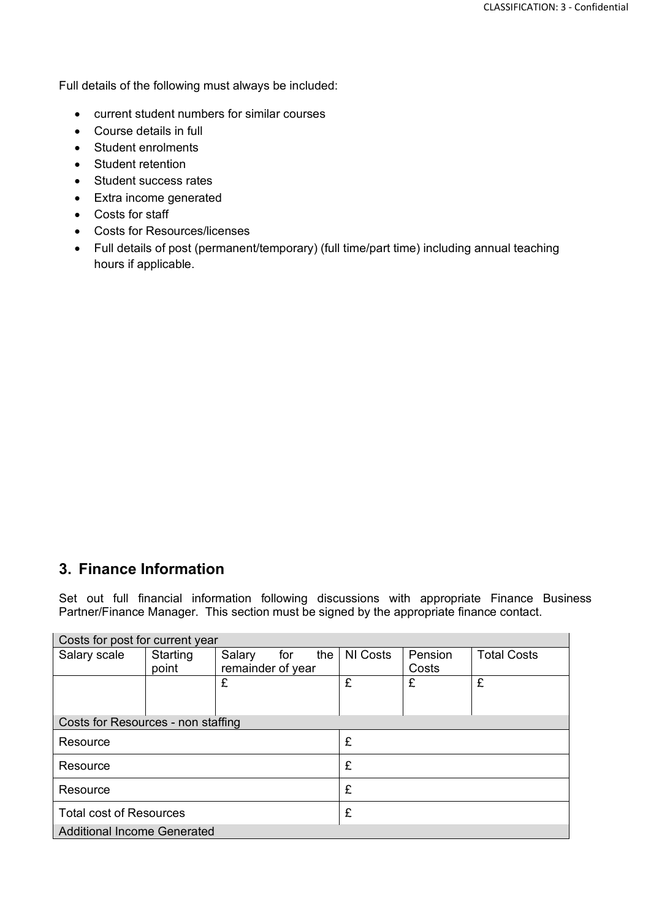Full details of the following must always be included:

- current student numbers for similar courses
- Course details in full
- Student enrolments
- Student retention
- Student success rates
- Extra income generated
- Costs for staff
- Costs for Resources/licenses
- Full details of post (permanent/temporary) (full time/part time) including annual teaching hours if applicable.

### **3. Finance Information**

Set out full financial information following discussions with appropriate Finance Business Partner/Finance Manager. This section must be signed by the appropriate finance contact.

| COSIS TOT DOST TOT CUITENT VEAL    |          |                   |     |     |          |         |                    |
|------------------------------------|----------|-------------------|-----|-----|----------|---------|--------------------|
| Salary scale                       | Starting | Salary            | for | the | NI Costs | Pension | <b>Total Costs</b> |
|                                    | point    | remainder of year |     |     | Costs    |         |                    |
|                                    |          | £                 |     |     | £        | £       | £                  |
|                                    |          |                   |     |     |          |         |                    |
|                                    |          |                   |     |     |          |         |                    |
| Costs for Resources - non staffing |          |                   |     |     |          |         |                    |
| Resource                           |          |                   | £   |     |          |         |                    |
|                                    |          |                   |     |     |          |         |                    |
| Resource                           |          |                   | £   |     |          |         |                    |
|                                    |          |                   |     |     |          |         |                    |
| Resource                           |          |                   | £   |     |          |         |                    |
| <b>Total cost of Resources</b>     |          |                   | £   |     |          |         |                    |
|                                    |          |                   |     |     |          |         |                    |
| <b>Additional Income Generated</b> |          |                   |     |     |          |         |                    |

Costs for post for current year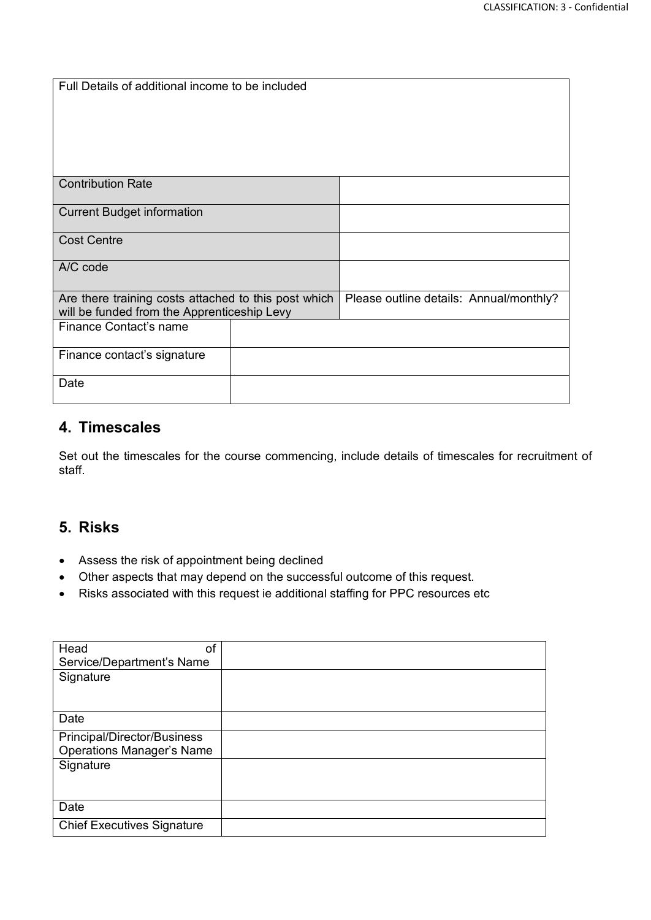| Full Details of additional income to be included                                                    |  |                                         |
|-----------------------------------------------------------------------------------------------------|--|-----------------------------------------|
| <b>Contribution Rate</b>                                                                            |  |                                         |
|                                                                                                     |  |                                         |
| <b>Current Budget information</b>                                                                   |  |                                         |
| <b>Cost Centre</b>                                                                                  |  |                                         |
| A/C code                                                                                            |  |                                         |
| Are there training costs attached to this post which<br>will be funded from the Apprenticeship Levy |  | Please outline details: Annual/monthly? |
| Finance Contact's name                                                                              |  |                                         |
| Finance contact's signature                                                                         |  |                                         |
| Date                                                                                                |  |                                         |

### **4. Timescales**

Set out the timescales for the course commencing, include details of timescales for recruitment of staff.

### **5. Risks**

- Assess the risk of appointment being declined
- Other aspects that may depend on the successful outcome of this request.
- Risks associated with this request ie additional staffing for PPC resources etc

| Head<br>of                        |  |
|-----------------------------------|--|
| Service/Department's Name         |  |
| Signature                         |  |
|                                   |  |
|                                   |  |
| Date                              |  |
| Principal/Director/Business       |  |
| <b>Operations Manager's Name</b>  |  |
| Signature                         |  |
|                                   |  |
|                                   |  |
| Date                              |  |
| <b>Chief Executives Signature</b> |  |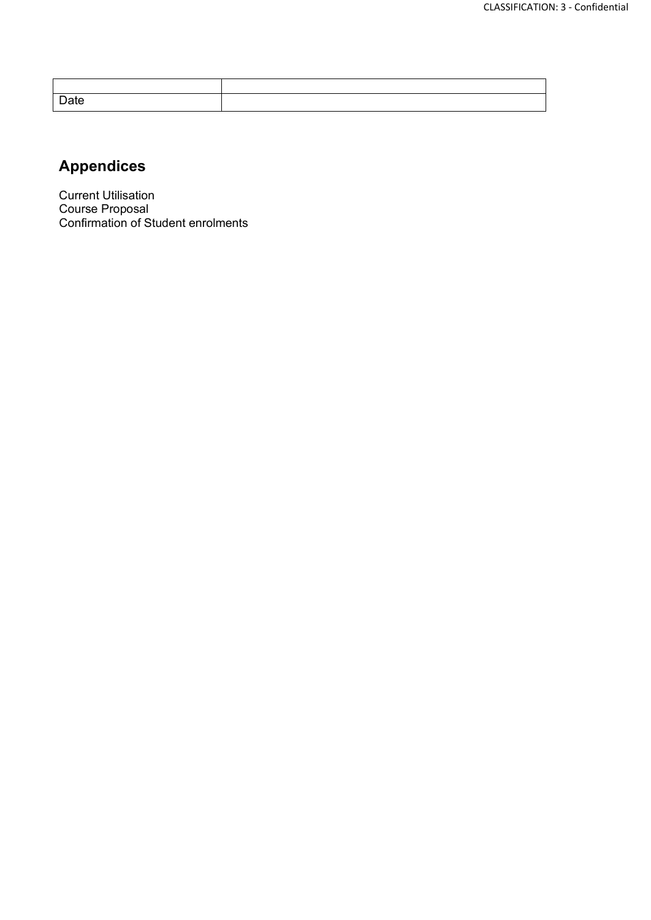| Date |  |
|------|--|

### **Appendices**

Current Utilisation Course Proposal Confirmation of Student enrolments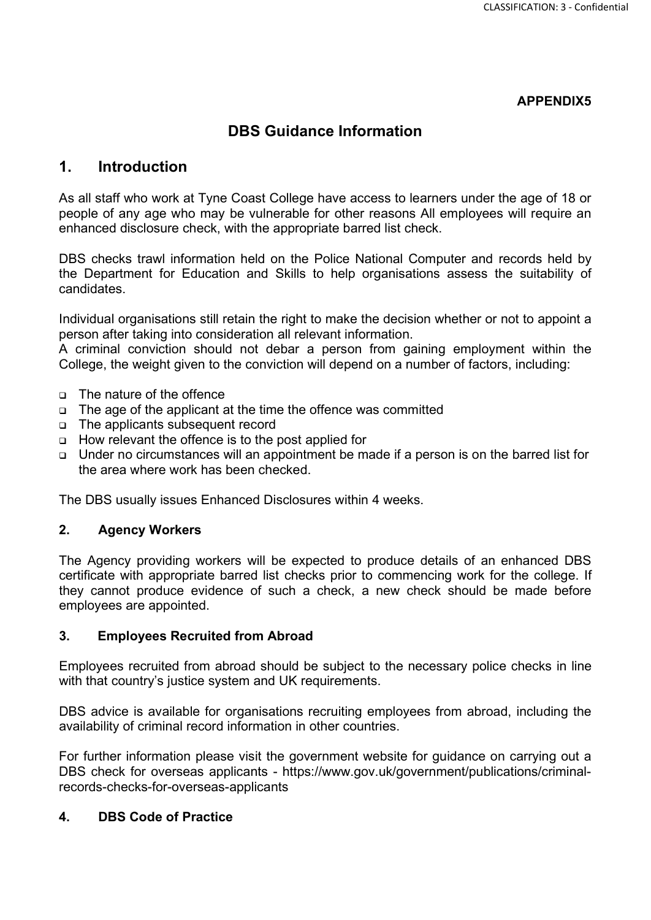### **DBS Guidance Information**

### **1. Introduction**

As all staff who work at Tyne Coast College have access to learners under the age of 18 or people of any age who may be vulnerable for other reasons All employees will require an enhanced disclosure check, with the appropriate barred list check.

DBS checks trawl information held on the Police National Computer and records held by the Department for Education and Skills to help organisations assess the suitability of candidates.

Individual organisations still retain the right to make the decision whether or not to appoint a person after taking into consideration all relevant information.

A criminal conviction should not debar a person from gaining employment within the College, the weight given to the conviction will depend on a number of factors, including:

- □ The nature of the offence
- □ The age of the applicant at the time the offence was committed
- The applicants subsequent record
- How relevant the offence is to the post applied for
- Under no circumstances will an appointment be made if a person is on the barred list for the area where work has been checked.

The DBS usually issues Enhanced Disclosures within 4 weeks.

#### **2. Agency Workers**

The Agency providing workers will be expected to produce details of an enhanced DBS certificate with appropriate barred list checks prior to commencing work for the college. If they cannot produce evidence of such a check, a new check should be made before employees are appointed.

#### **3. Employees Recruited from Abroad**

Employees recruited from abroad should be subject to the necessary police checks in line with that country's justice system and UK requirements.

DBS advice is available for organisations recruiting employees from abroad, including the availability of criminal record information in other countries.

For further information please visit the government website for guidance on carrying out a DBS check for overseas applicants - https://www.gov.uk/government/publications/criminalrecords-checks-for-overseas-applicants

#### **4. DBS Code of Practice**